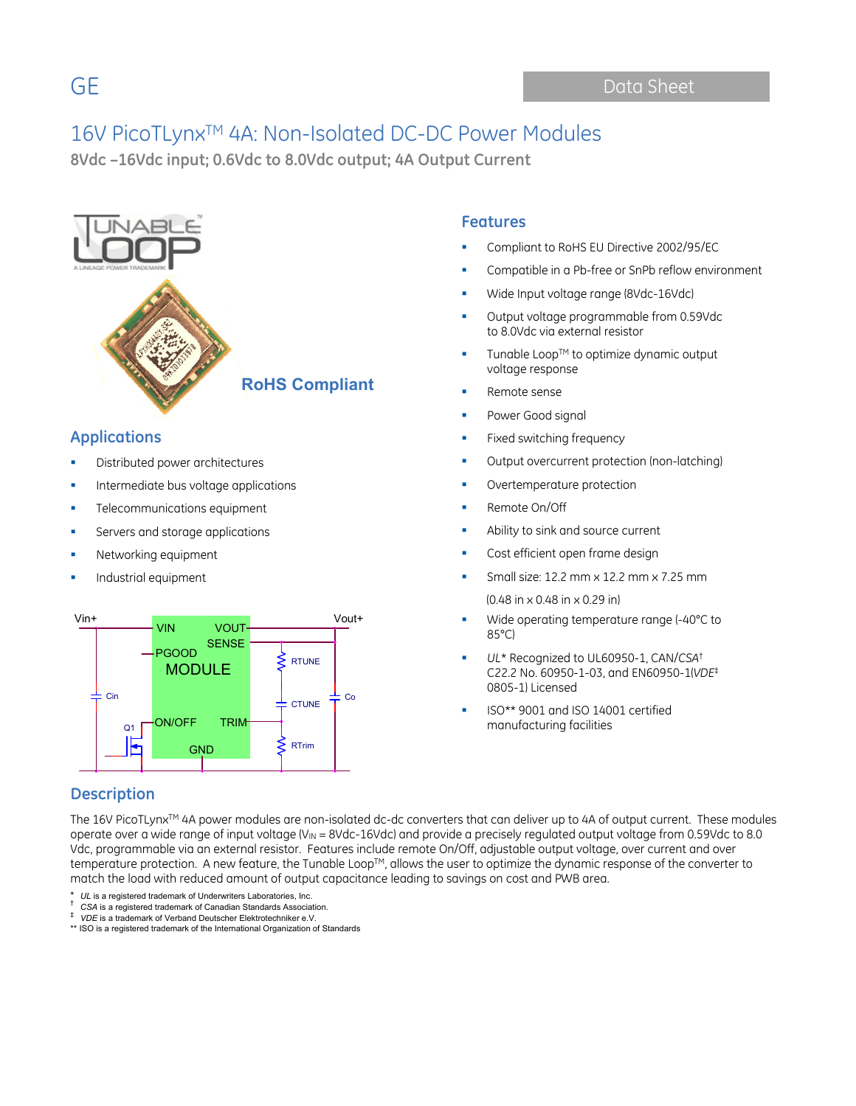**8Vdc –16Vdc input; 0.6Vdc to 8.0Vdc output; 4A Output Current**



### **Applications**

- Distributed power architectures
- Intermediate bus voltage applications
- Telecommunications equipment
- Servers and storage applications
- Networking equipment
- Industrial equipment



### **Description**

## The 16V PicoTLynx™ 4A power modules are non-isolated dc-dc converters that can deliver up to 4A of output current. These modules operate over a wide range of input voltage (V<sub>IN</sub> = 8Vdc-16Vdc) and provide a precisely regulated output voltage from 0.59Vdc to 8.0 Vdc, programmable via an external resistor. Features include remote On/Off, adjustable output voltage, over current and over

temperature protection. A new feature, the Tunable Loop™, allows the user to optimize the dynamic response of the converter to match the load with reduced amount of output capacitance leading to savings on cost and PWB area.

\* *UL* is a registered trademark of Underwriters Laboratories, Inc. † *CSA* is a registered trademark of Canadian Standards Association. ‡ *VDE* is a trademark of Verband Deutscher Elektrotechniker e.V.

### **Features**

- Compliant to RoHS EU Directive 2002/95/EC
- Compatible in a Pb-free or SnPb reflow environment
- Wide Input voltage range (8Vdc-16Vdc)
- Output voltage programmable from 0.59Vdc to 8.0Vdc via external resistor
- Tunable Loop™ to optimize dynamic output voltage response
- Remote sense
- Power Good signal
- Fixed switching frequency
- Output overcurrent protection (non-latching)
- Overtemperature protection
- Remote On/Off
- Ability to sink and source current
- Cost efficient open frame design
- Small size: 12.2 mm x 12.2 mm x 7.25 mm (0.48 in x 0.48 in x 0.29 in)
- Wide operating temperature range (-40°C to 85°C)
- *UL*\* Recognized to UL60950-1, CAN/*CSA*† C22.2 No. 60950-1-03, and EN60950-1(*VDE*‡ 0805-1) Licensed
- ISO\*\* 9001 and ISO 14001 certified manufacturing facilities

<sup>\*\*</sup> ISO is a registered trademark of the International Organization of Standards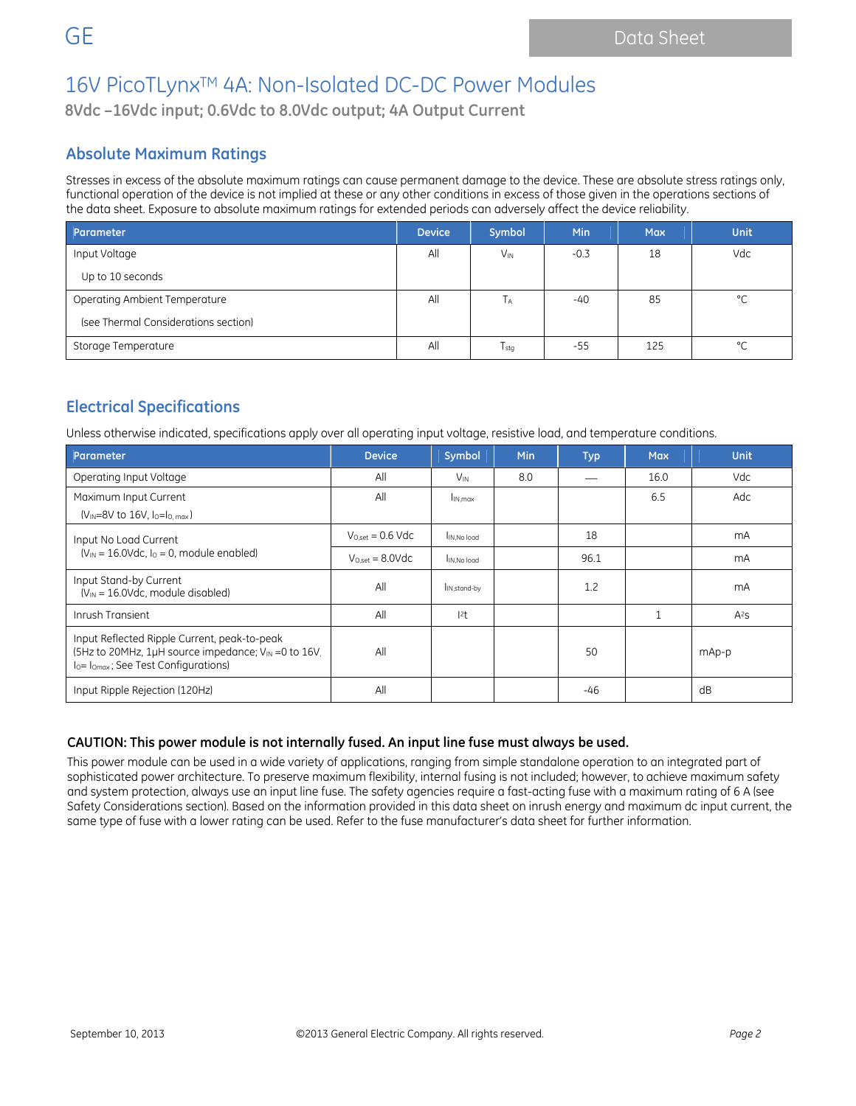## 16V PicoTLynx<sup>™</sup> 4A: Non-Isolated DC-DC Power Modules

**8Vdc –16Vdc input; 0.6Vdc to 8.0Vdc output; 4A Output Current**

### **Absolute Maximum Ratings**

Stresses in excess of the absolute maximum ratings can cause permanent damage to the device. These are absolute stress ratings only, functional operation of the device is not implied at these or any other conditions in excess of those given in the operations sections of the data sheet. Exposure to absolute maximum ratings for extended periods can adversely affect the device reliability.

| Parameter                            | <b>Device</b> | Symbol          | Min    | <b>Max</b> | <b>Unit</b> |
|--------------------------------------|---------------|-----------------|--------|------------|-------------|
| Input Voltage                        | All           | $V_{\text{IN}}$ | $-0.3$ | 18         | Vdc         |
| Up to 10 seconds                     |               |                 |        |            |             |
| Operating Ambient Temperature        | All           | Tд              | -40    | 85         | °C          |
| (see Thermal Considerations section) |               |                 |        |            |             |
| Storage Temperature                  | All           | $T_{\rm stg}$   | $-55$  | 125        | °C          |

### **Electrical Specifications**

Unless otherwise indicated, specifications apply over all operating input voltage, resistive load, and temperature conditions.

| Parameter                                                                                                                                                 | <b>Device</b>         | Symbol                   | <b>Min</b> | <b>Typ</b> | <b>Max</b> | <b>Unit</b> |
|-----------------------------------------------------------------------------------------------------------------------------------------------------------|-----------------------|--------------------------|------------|------------|------------|-------------|
| Operating Input Voltage                                                                                                                                   | All                   | $V_{IN}$                 | 8.0        |            | 16.0       | Vdc         |
| Maximum Input Current                                                                                                                                     | All                   | I <sub>IN.max</sub>      |            |            | 6.5        | Adc         |
| $(V_{IN} = 8V$ to 16V, $I_0 = I_0$ max)                                                                                                                   |                       |                          |            |            |            |             |
| Input No Load Current                                                                                                                                     | $V_{O.set} = 0.6$ Vdc | IN, No load              |            | 18         |            | mA          |
| $(V_{IN} = 16.0 \text{Vdc}, I_0 = 0$ , module enabled)                                                                                                    | $V_{Oset} = 8.0$ Vdc  | IN.No load               |            | 96.1       |            | mA          |
| Input Stand-by Current<br>$(V_{IN} = 16.0$ Vdc, module disabled)                                                                                          | All                   | I <sub>IN,stand-by</sub> |            | 1.2        |            | mA          |
| Inrush Transient                                                                                                                                          | All                   | 2t                       |            |            |            | $A^2S$      |
| Input Reflected Ripple Current, peak-to-peak<br>(5Hz to 20MHz, 1µH source impedance; V <sub>IN</sub> = 0 to 16V.<br>$I0=I0max$ ; See Test Configurations) | All                   |                          |            | 50         |            | mAp-p       |
| Input Ripple Rejection (120Hz)                                                                                                                            | All                   |                          |            | -46        |            | dB          |

### **CAUTION: This power module is not internally fused. An input line fuse must always be used.**

This power module can be used in a wide variety of applications, ranging from simple standalone operation to an integrated part of sophisticated power architecture. To preserve maximum flexibility, internal fusing is not included; however, to achieve maximum safety and system protection, always use an input line fuse. The safety agencies require a fast-acting fuse with a maximum rating of 6 A (see Safety Considerations section). Based on the information provided in this data sheet on inrush energy and maximum dc input current, the same type of fuse with a lower rating can be used. Refer to the fuse manufacturer's data sheet for further information.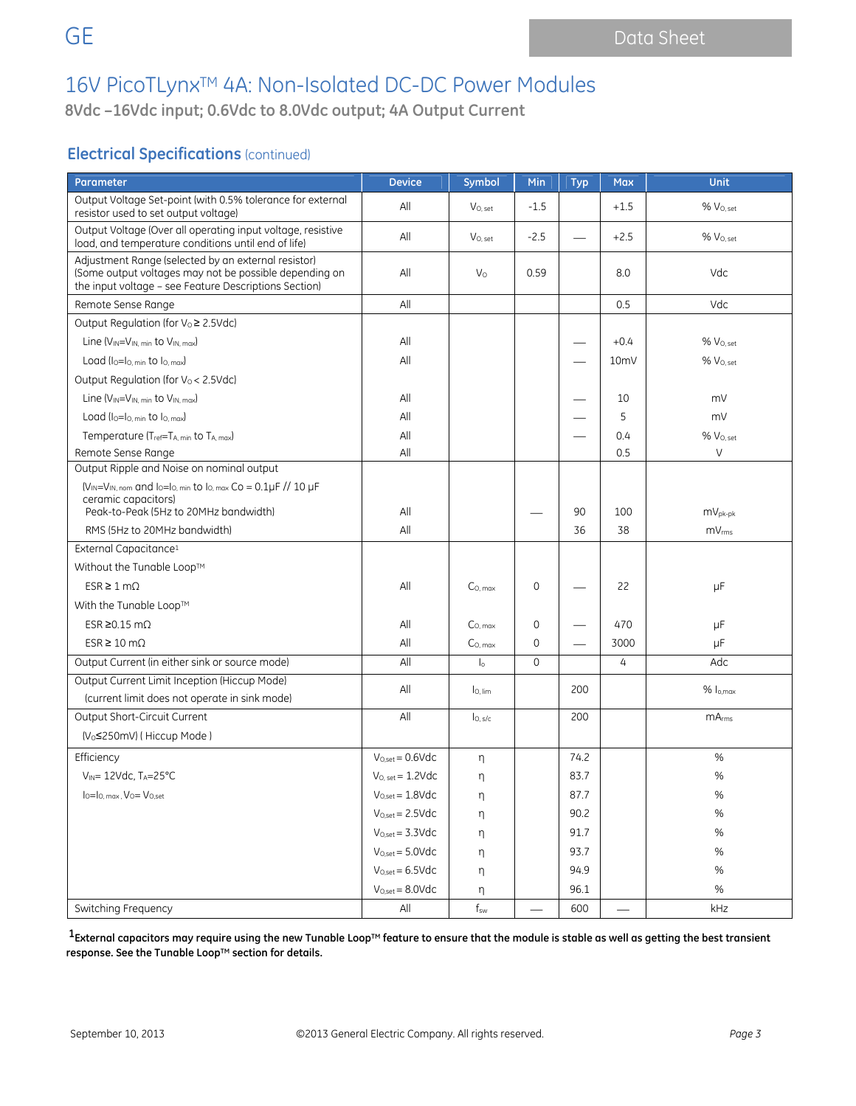**8Vdc –16Vdc input; 0.6Vdc to 8.0Vdc output; 4A Output Current**

### **Electrical Specifications** (continued)

| Parameter                                                                                                                                                              | <b>Device</b>                | Symbol              | Min          | <b>Typ</b> | <b>Max</b>      | Unit                  |
|------------------------------------------------------------------------------------------------------------------------------------------------------------------------|------------------------------|---------------------|--------------|------------|-----------------|-----------------------|
| Output Voltage Set-point (with 0.5% tolerance for external<br>resistor used to set output voltage)                                                                     | All                          | $V_{O, set}$        | $-1.5$       |            | $+1.5$          | % V <sub>0. set</sub> |
| Output Voltage (Over all operating input voltage, resistive<br>load, and temperature conditions until end of life)                                                     | All                          | $V_{O, set}$        | $-2.5$       |            | $+2.5$          | % V <sub>O. set</sub> |
| Adjustment Range (selected by an external resistor)<br>(Some output voltages may not be possible depending on<br>the input voltage - see Feature Descriptions Section) | All                          | $V_{\rm O}$         | 0.59         |            | 8.0             | Vdc                   |
| Remote Sense Range                                                                                                                                                     | All                          |                     |              |            | 0.5             | Vdc                   |
| Output Regulation (for Vo≥ 2.5Vdc)                                                                                                                                     |                              |                     |              |            |                 |                       |
| Line $(V_{IN} = V_{IN}$ min to $V_{IN}$ max)                                                                                                                           | All                          |                     |              |            | $+0.4$          | % V <sub>O. set</sub> |
| Load $(I_0 = I_0$ min to $I_0$ max)                                                                                                                                    | All                          |                     |              |            | 10 <sub>m</sub> | $%V_{O. set}$         |
| Output Regulation (for V <sub>o</sub> < 2.5Vdc)                                                                                                                        |                              |                     |              |            |                 |                       |
| Line $(V_{IN} = V_{IN. min}$ to $V_{IN. max}$                                                                                                                          | All                          |                     |              |            | 10              | mV                    |
| Load $(I_0 = I_0$ min to $I_0$ max)                                                                                                                                    | All                          |                     |              |            | 5               | mV                    |
| Temperature (Tref=TA, min to TA, max)                                                                                                                                  | All                          |                     |              |            | 0.4             | % Vo, set             |
| Remote Sense Range                                                                                                                                                     | All                          |                     |              |            | 0.5             | V                     |
| Output Ripple and Noise on nominal output                                                                                                                              |                              |                     |              |            |                 |                       |
| $(V_{IN} = V_{IN, nom}$ and $I_0 = I_{O, min}$ to $I_{O, max}$ Co = 0.1µF // 10 µF<br>ceramic capacitors)<br>Peak-to-Peak (5Hz to 20MHz bandwidth)                     | All                          |                     |              | 90         | 100             | $mV_{pk-pk}$          |
| RMS (5Hz to 20MHz bandwidth)                                                                                                                                           | All                          |                     |              | 36         | 38              | mV <sub>rms</sub>     |
| External Capacitance <sup>1</sup>                                                                                                                                      |                              |                     |              |            |                 |                       |
| Without the Tunable Loop™                                                                                                                                              |                              |                     |              |            |                 |                       |
| $ESR \geq 1 \text{ mA}$                                                                                                                                                | All                          | $C_{O, max}$        | 0            |            | 22              | μF                    |
| With the Tunable Loop™                                                                                                                                                 |                              |                     |              |            |                 |                       |
| ESR $\geq$ 0.15 m $\Omega$                                                                                                                                             | All                          | $C_{O, \, max}$     | 0            |            | 470             | μF                    |
| $ESR \ge 10 \text{ m}\Omega$                                                                                                                                           | All                          | $Co_{. max}$        | 0            |            | 3000            | μF                    |
| Output Current (in either sink or source mode)                                                                                                                         | All                          | $\mathsf{I}_\circ$  | $\mathbf{0}$ |            | 4               | Adc                   |
| Output Current Limit Inception (Hiccup Mode)                                                                                                                           | All                          |                     |              |            |                 |                       |
| (current limit does not operate in sink mode)                                                                                                                          |                              | I <sub>O. lim</sub> |              | 200        |                 | % lo.max              |
| Output Short-Circuit Current                                                                                                                                           | All                          | $I_{O, s/c}$        |              | 200        |                 | mA <sub>rms</sub>     |
| (V <sub>o</sub> ≤250mV) (Hiccup Mode)                                                                                                                                  |                              |                     |              |            |                 |                       |
| Efficiency                                                                                                                                                             | $V_{O,set} = 0.6 \text{Vdc}$ | η                   |              | 74.2       |                 | %                     |
| $V_{IN}$ = 12Vdc, TA=25°C                                                                                                                                              | $V_{O, set} = 1.2Vdc$        | η                   |              | 83.7       |                 | %                     |
| $I_0 = I_0$ , max, $V_0 = V_{0,\text{set}}$                                                                                                                            | $V_{O,set} = 1.8Vdc$         | η                   |              | 87.7       |                 | $\%$                  |
|                                                                                                                                                                        | $V_{O,set} = 2.5Vdc$         | η                   |              | 90.2       |                 | $\%$                  |
|                                                                                                                                                                        | $V_{O,set} = 3.3 \text{Vdc}$ | η                   |              | 91.7       |                 | $\%$                  |
|                                                                                                                                                                        | $V_{O,set} = 5.0 \text{Vdc}$ | η                   |              | 93.7       |                 | $\%$                  |
|                                                                                                                                                                        | $V_{O,set} = 6.5 \text{Vdc}$ | η                   |              | 94.9       |                 | $\%$                  |
|                                                                                                                                                                        | $V_{O,set} = 8.0 Vdc$        | η                   |              | 96.1       |                 | $\%$                  |
| Switching Frequency                                                                                                                                                    | All                          | $f_{\rm sw}$        |              | 600        |                 | kHz                   |

<sup>1</sup> External capacitors may require using the new Tunable Loop™ feature to ensure that the module is stable as well as getting the best transient response. See the Tunable Loop™ section for details.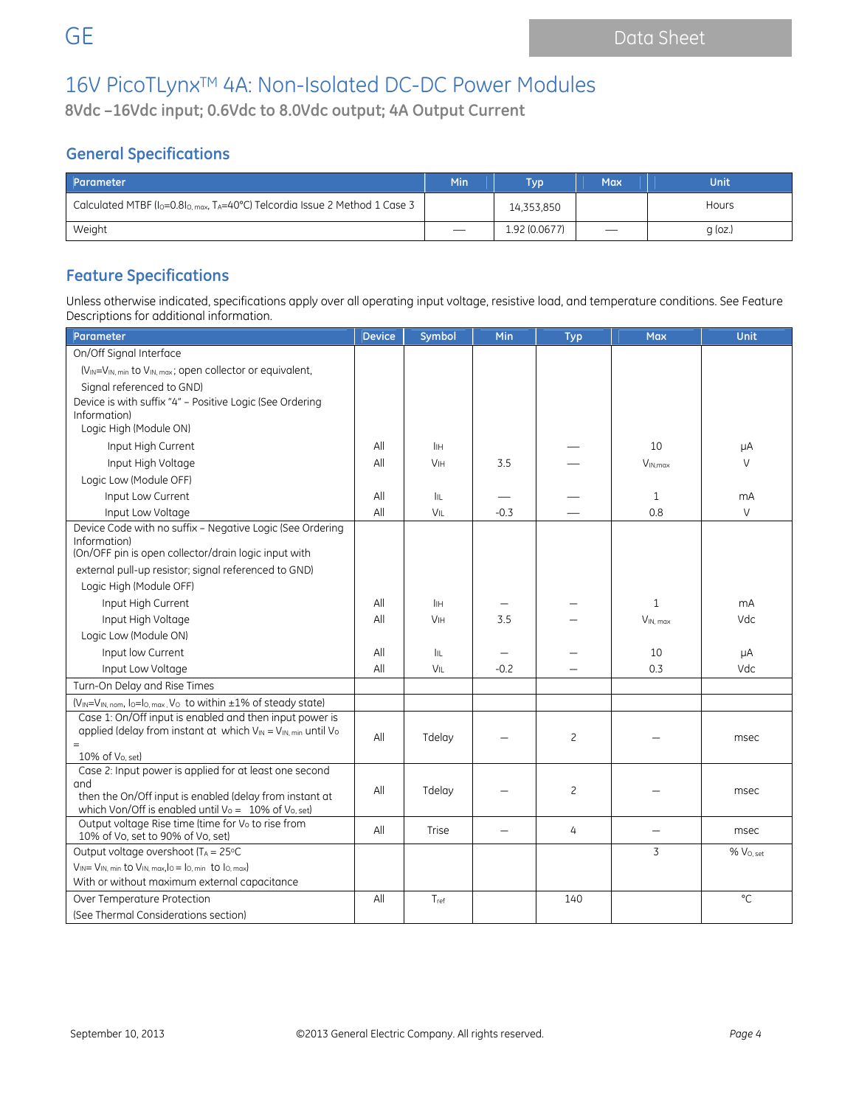**8Vdc –16Vdc input; 0.6Vdc to 8.0Vdc output; 4A Output Current**

### **General Specifications**

| Parameter                                                                                                         | Min                      | <b>Typ</b>    | <b>Max</b>               | <b>Unit</b>  |
|-------------------------------------------------------------------------------------------------------------------|--------------------------|---------------|--------------------------|--------------|
| Calculated MTBF (I <sub>0</sub> =0.8I <sub>0, max</sub> , T <sub>A</sub> =40°C) Telcordia Issue 2 Method 1 Case 3 |                          | 14,353,850    |                          | <b>Hours</b> |
| Weight                                                                                                            | $\overline{\phantom{a}}$ | 1.92 (0.0677) | $\overline{\phantom{m}}$ | $q$ (oz.)    |

### **Feature Specifications**

Unless otherwise indicated, specifications apply over all operating input voltage, resistive load, and temperature conditions. See Feature Descriptions for additional information.

| Parameter                                                                                                             | <b>Device</b> | Symbol     | Min    | <b>Typ</b> | <b>Max</b>    | Unit         |
|-----------------------------------------------------------------------------------------------------------------------|---------------|------------|--------|------------|---------------|--------------|
| On/Off Signal Interface                                                                                               |               |            |        |            |               |              |
| (V <sub>IN</sub> =V <sub>IN, min</sub> to V <sub>IN, max</sub> ; open collector or equivalent,                        |               |            |        |            |               |              |
| Signal referenced to GND)                                                                                             |               |            |        |            |               |              |
| Device is with suffix "4" - Positive Logic (See Ordering                                                              |               |            |        |            |               |              |
| Information)                                                                                                          |               |            |        |            |               |              |
| Logic High (Module ON)                                                                                                |               |            |        |            |               |              |
| Input High Current                                                                                                    | All           | Iін        |        |            | 10            | μA           |
| Input High Voltage                                                                                                    | All           | VIH        | 3.5    |            | $V_{IN,max}$  | $\vee$       |
| Logic Low (Module OFF)                                                                                                |               |            |        |            |               |              |
| Input Low Current                                                                                                     | All           | IIL.       |        |            | $\mathbf{1}$  | mA           |
| Input Low Voltage                                                                                                     | All           | VIL        | $-0.3$ |            | 0.8           | V            |
| Device Code with no suffix - Negative Logic (See Ordering<br>Information)                                             |               |            |        |            |               |              |
| (On/OFF pin is open collector/drain logic input with                                                                  |               |            |        |            |               |              |
| external pull-up resistor; signal referenced to GND)                                                                  |               |            |        |            |               |              |
| Logic High (Module OFF)                                                                                               |               |            |        |            |               |              |
| Input High Current                                                                                                    | All           | lін        |        |            | $\mathbf{1}$  | mA           |
| Input High Voltage                                                                                                    | All           | VIH        | 3.5    |            | $V_{IN, max}$ | Vdc          |
| Logic Low (Module ON)                                                                                                 |               |            |        |            |               |              |
| Input low Current                                                                                                     | All           | <b>IIL</b> |        |            | 10            | μA           |
| Input Low Voltage                                                                                                     | All           | VIL        | $-0.2$ |            | 0.3           | <b>Vdc</b>   |
| Turn-On Delay and Rise Times                                                                                          |               |            |        |            |               |              |
| (VIN=VIN, nom, lo=lo, max, Vo to within ±1% of steady state)                                                          |               |            |        |            |               |              |
| Case 1: On/Off input is enabled and then input power is                                                               |               |            |        |            |               |              |
| applied (delay from instant at which VIN = VIN, min until Vo                                                          | All           | Tdelay     |        | 2          |               | msec         |
| $=$<br>10% of Vo. set)                                                                                                |               |            |        |            |               |              |
| Case 2: Input power is applied for at least one second                                                                |               |            |        |            |               |              |
| and                                                                                                                   | All           | Tdelay     |        | 2          |               | msec         |
| then the On/Off input is enabled (delay from instant at                                                               |               |            |        |            |               |              |
| which Von/Off is enabled until Vo = 10% of Vo, set)<br>Output voltage Rise time (time for V <sub>o</sub> to rise from |               |            |        |            |               |              |
| 10% of Vo, set to 90% of Vo, set)                                                                                     | All           | Trise      |        | 4          |               | msec         |
| Output voltage overshoot ( $T_A = 25$ °C                                                                              |               |            |        |            | 3             | % Vo.set     |
| $V_{IN} = V_{IN, min}$ to $V_{IN, max, lo} = I_{O, min}$ to $I_{O, max}$                                              |               |            |        |            |               |              |
| With or without maximum external capacitance                                                                          |               |            |        |            |               |              |
| Over Temperature Protection                                                                                           | All           | Tref       |        | 140        |               | $^{\circ}$ C |
| (See Thermal Considerations section)                                                                                  |               |            |        |            |               |              |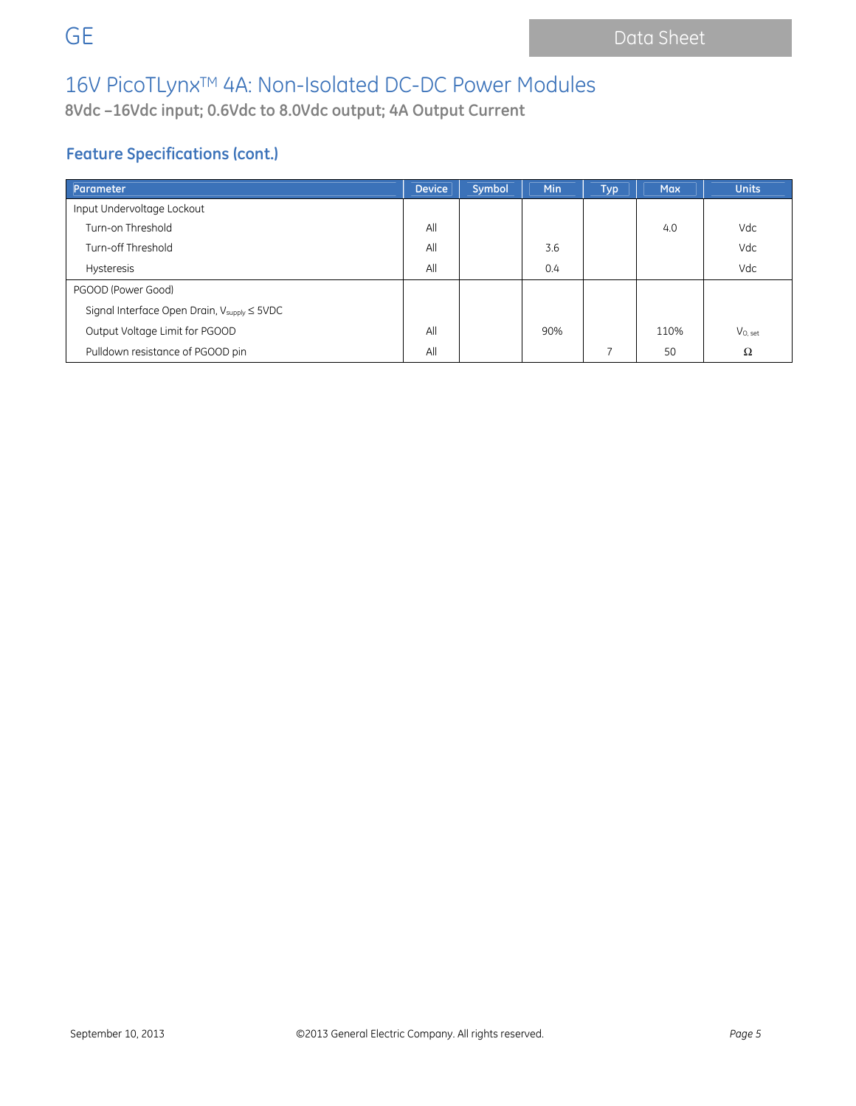**8Vdc –16Vdc input; 0.6Vdc to 8.0Vdc output; 4A Output Current**

## **Feature Specifications (cont.)**

| Parameter                                                         | <b>Device</b> | Symbol | Min | <b>Typ</b> | <b>Max</b> | <b>Units</b> |
|-------------------------------------------------------------------|---------------|--------|-----|------------|------------|--------------|
| Input Undervoltage Lockout                                        |               |        |     |            |            |              |
| Turn-on Threshold                                                 | All           |        |     |            | 4.0        | Vdc          |
| Turn-off Threshold                                                | All           |        | 3.6 |            |            | Vdc          |
| <b>Hysteresis</b>                                                 | All           |        | 0.4 |            |            | Vdc          |
| PGOOD (Power Good)                                                |               |        |     |            |            |              |
| Signal Interface Open Drain, $V_{\text{supply}} \leq 5\text{VDC}$ |               |        |     |            |            |              |
| Output Voltage Limit for PGOOD                                    | All           |        | 90% |            | 110%       | $V_{O, set}$ |
| Pulldown resistance of PGOOD pin                                  | All           |        |     |            | 50         | Ω            |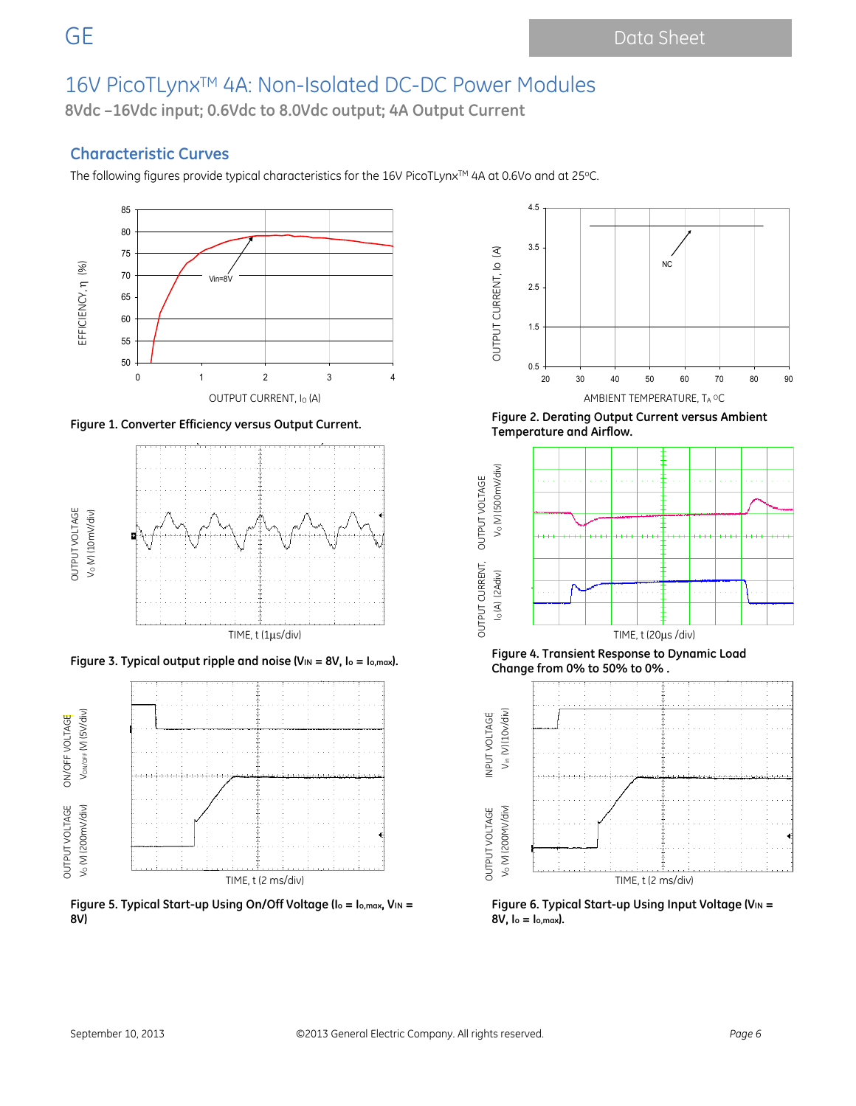**8Vdc –16Vdc input; 0.6Vdc to 8.0Vdc output; 4A Output Current**

### **Characteristic Curves**

The following figures provide typical characteristics for the 16V PicoTLynx™ 4A at 0.6Vo and at 25°C.







**Figure 5. Typical Start-up Using On/Off Voltage (Io = Io,max, VIN = 8V)** 



**Figure 1. Converter Efficiency versus Output Current. Figure 2. Derating Output Current versus Ambient Temperature and Airflow.** 



**Figure 3. Typical output ripple and noise (VIN = 8V, Io = Io,max). Figure 4. Transient Response to Dynamic Load Change from 0% to 50% to 0% .** 



Figure 6. Typical Start-up Using Input Voltage (V<sub>IN</sub> = **8V, Io = Io,max).**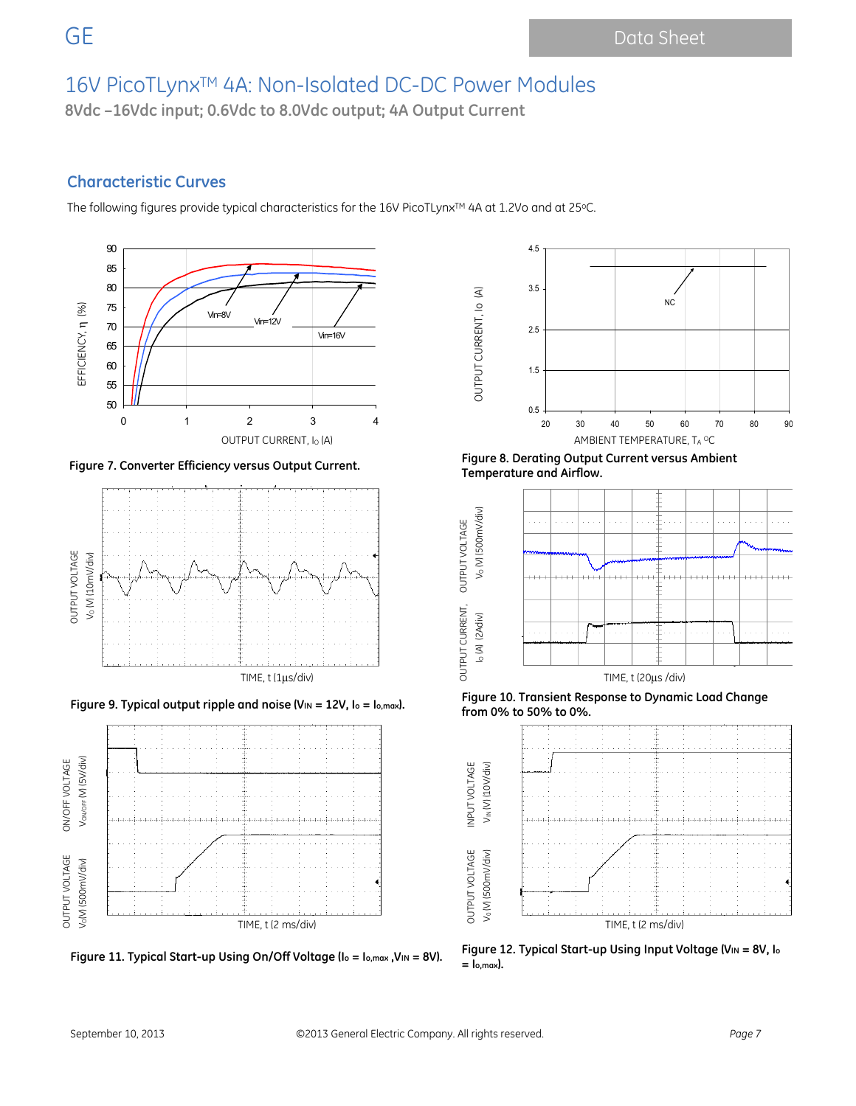**8Vdc –16Vdc input; 0.6Vdc to 8.0Vdc output; 4A Output Current**

### **Characteristic Curves**

The following figures provide typical characteristics for the 16V PicoTLynx™ 4A at 1.2Vo and at 25°C.









**Figure 7. Converter Efficiency versus Output Current. Figure 8. Derating Output Current versus Ambient Temperature and Airflow.** 

OUTPUT CURRENT, Io (A)

OUTPUT CURRENT, IO (A)



**Figure 9. Typical output ripple and noise (VIN = 12V, Io = Io,max). Figure 10. Transient Response to Dynamic Load Change from 0% to 50% to 0%.** 



**Figure 11. Typical Start-up Using On/Off Voltage (Io = Io,max ,VIN = 8V). Figure 12. Typical Start-up Using Input Voltage (VIN = 8V, Io = Io,max).**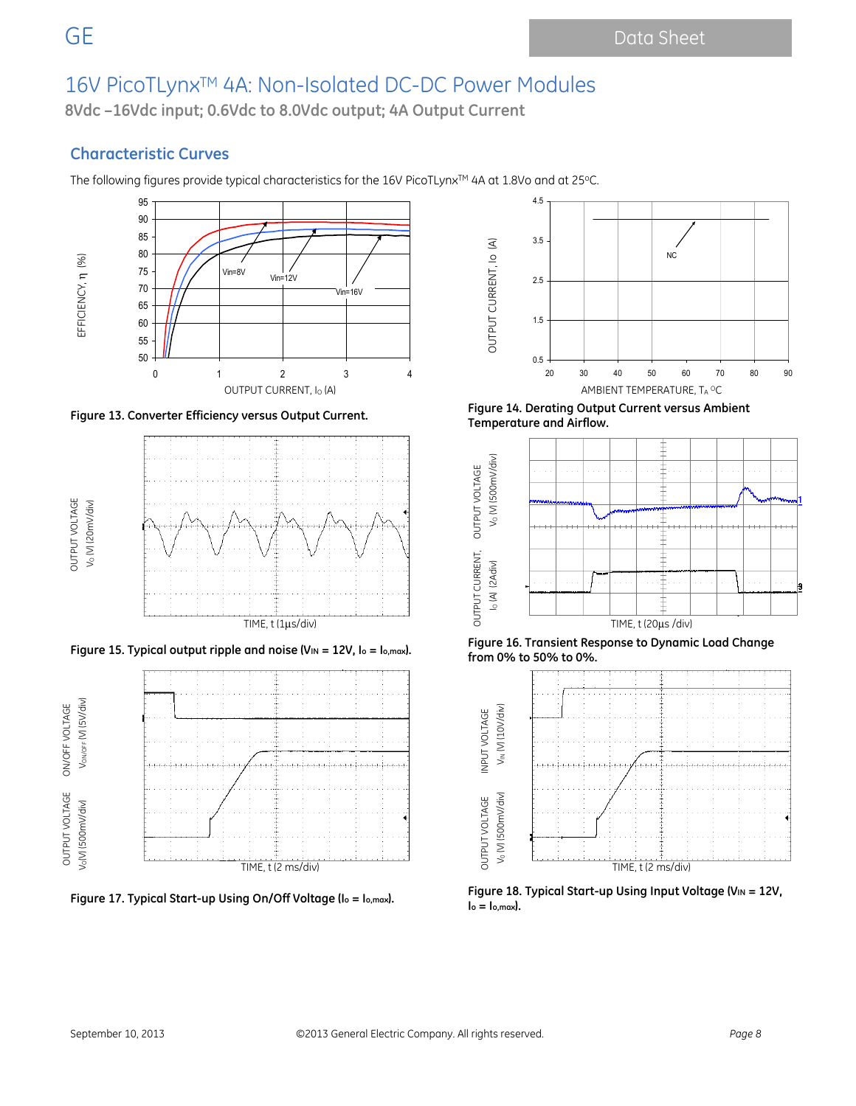**8Vdc –16Vdc input; 0.6Vdc to 8.0Vdc output; 4A Output Current**

### **Characteristic Curves**

The following figures provide typical characteristics for the 16V PicoTLynx<sup>TM</sup> 4A at 1.8Vo and at 25°C.









**Figure 13. Converter Efficiency versus Output Current. Figure 14. Derating Output Current versus Ambient Temperature and Airflow.** 



**Figure 15. Typical output ripple and noise (VIN = 12V, Io = Io,max). Figure 16. Transient Response to Dynamic Load Change from 0% to 50% to 0%.** 



Figure 17. Typical Start-up Using On/Off Voltage (I<sub>o = Io,max</sub>). **Properties 18. Typical Start-up Using Input Voltage (VIN = 12V, <sup>1</sup>**  $I_o = I_{o,max}$ ).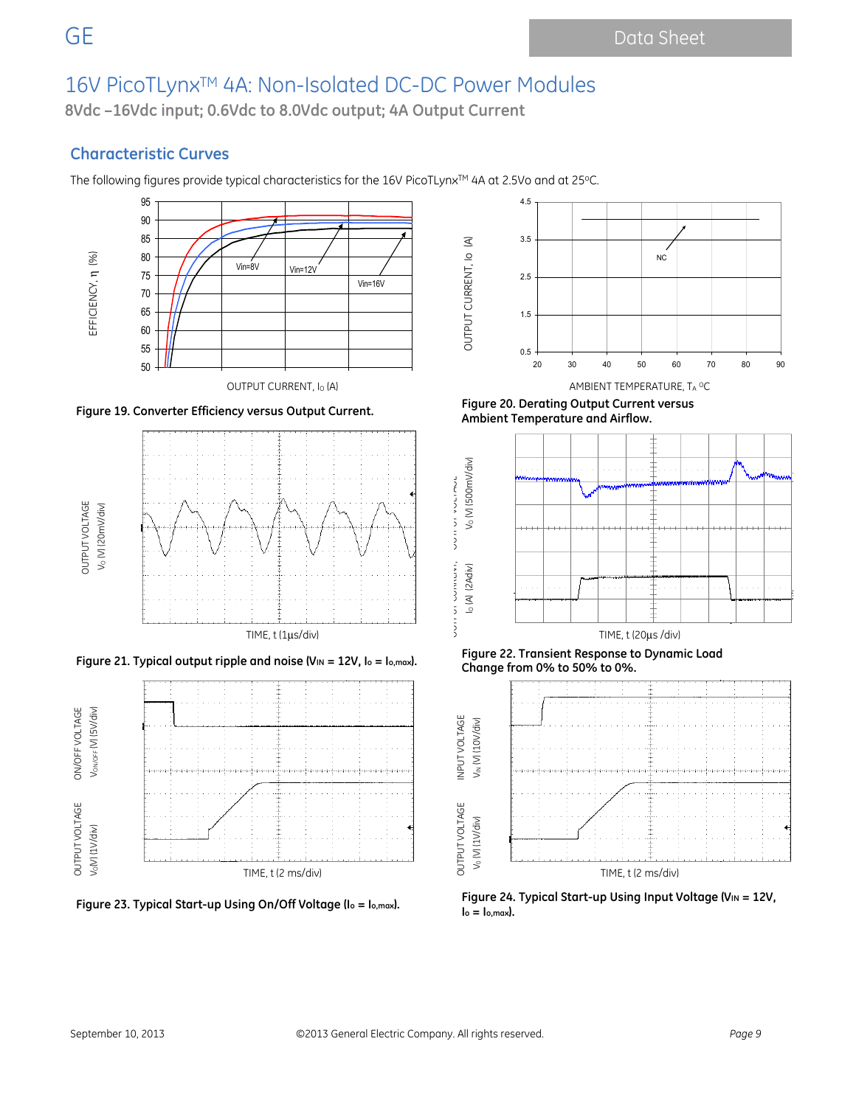**8Vdc –16Vdc input; 0.6Vdc to 8.0Vdc output; 4A Output Current**

### **Characteristic Curves**

The following figures provide typical characteristics for the 16V PicoTLynx™ 4A at 2.5Vo and at 25°C.











**Figure 19. Converter Efficiency versus Output Current. Figure 20. Derating Output Current versus Ambient Temperature and Airflow.** 



**Figure 21. Typical output ripple and noise (VIN = 12V, Io = Io,max). Figure 22. Transient Response to Dynamic Load Change from 0% to 50% to 0%.** 



Figure 23. Typical Start-up Using On/Off Voltage (I<sub>o</sub> = I<sub>o,max</sub>). **Propical Start-up Using Input Voltage (V**IN = 12V,  $I_0 = I_0$ , max $I_0$ .

OUTPUT CURRENT, OUTPUT VOLTAGE

JE POINTER,

**ANDIAN ANDIEN**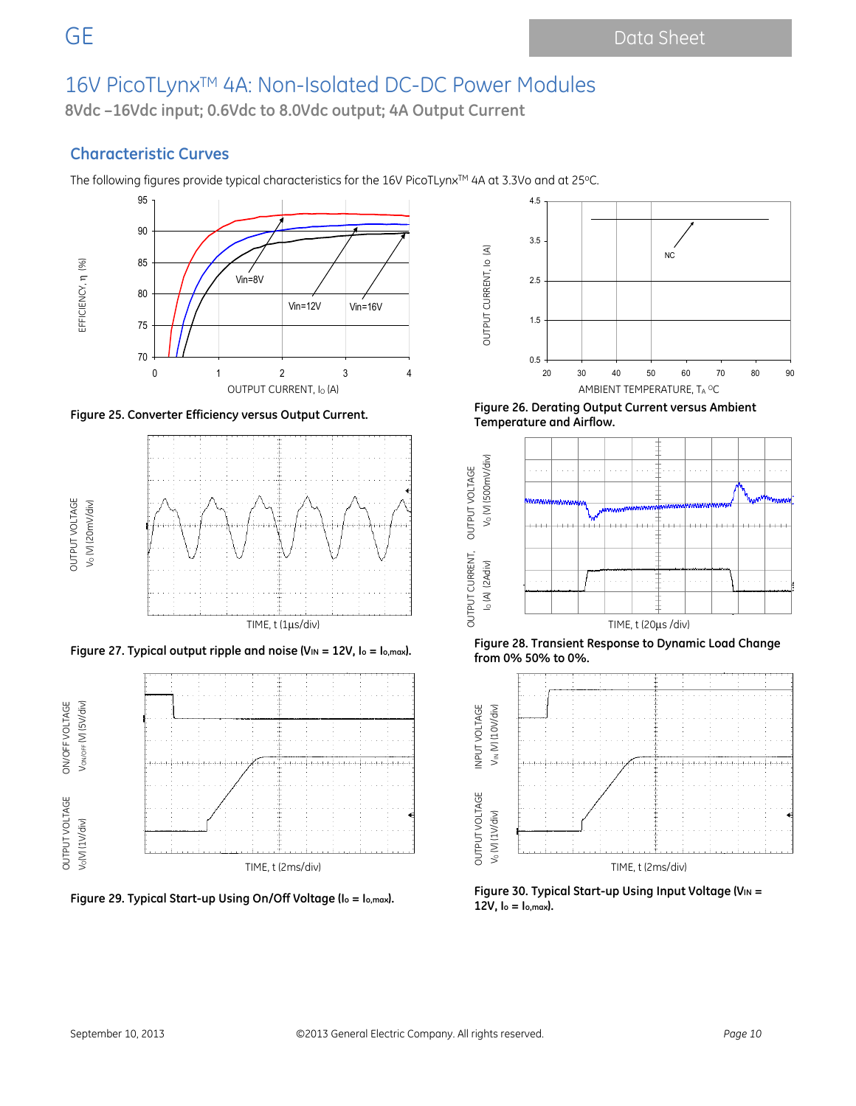**8Vdc –16Vdc input; 0.6Vdc to 8.0Vdc output; 4A Output Current**

### **Characteristic Curves**

The following figures provide typical characteristics for the 16V PicoTLynx™ 4A at 3.3Vo and at 25°C.









**Figure 25. Converter Efficiency versus Output Current. Figure 26. Derating Output Current versus Ambient Temperature and Airflow.** 



**Figure 28. Transient Response to Dynamic Load Change**<br>**Figure 28. Transient Response to Dynamic Load Change** *Francy Load Change Francy Load is* **from 0% 50% to 0%.** 



Figure 30. Typical Start-up Using Using On/Off Voltage (I<sub>o</sub> = I<sub>o,max</sub>). **Figure 30. Typical Start-up Using Input Voltage (V**IN = **12V, Io = Io,max).**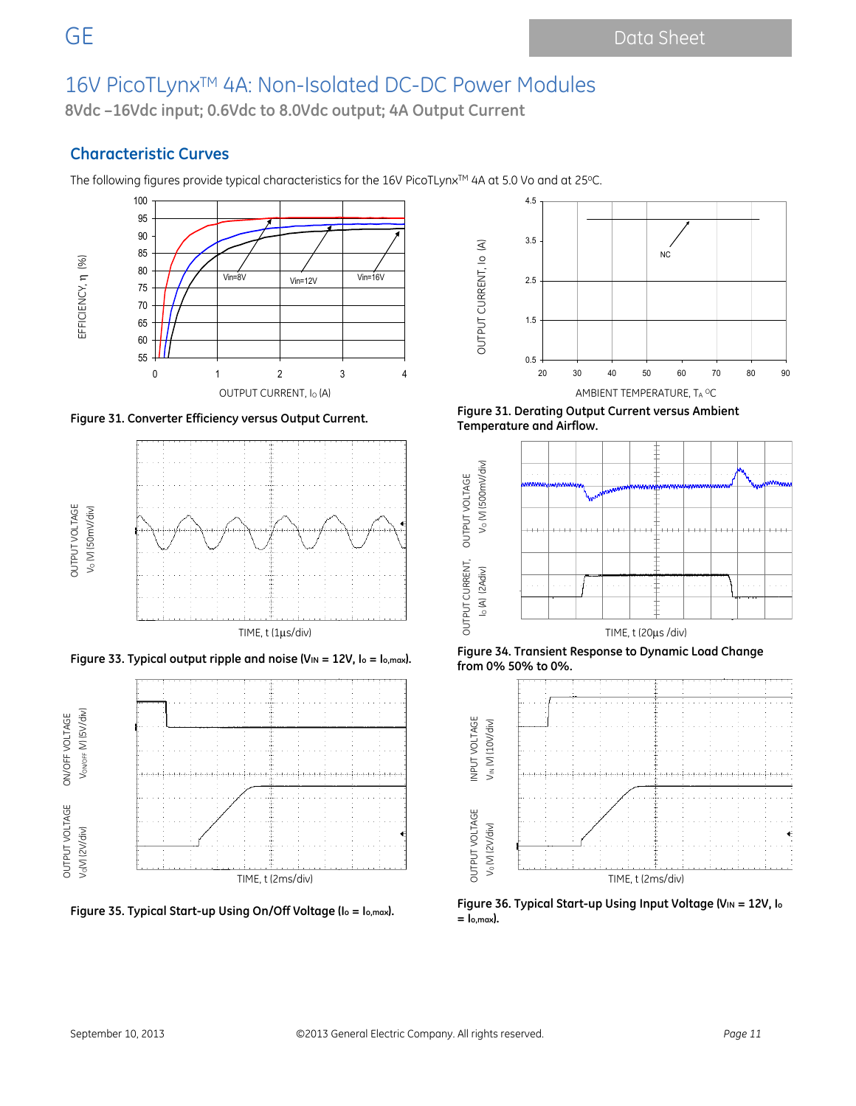**8Vdc –16Vdc input; 0.6Vdc to 8.0Vdc output; 4A Output Current**

### **Characteristic Curves**

The following figures provide typical characteristics for the 16V PicoTLynx™ 4A at 5.0 Vo and at 25°C.









**Figure 31. Converter Efficiency versus Output Current. Figure 31. Derating Output Current versus Ambient Temperature and Airflow.** 



**Figure 33. Typical output ripple and noise (VIN = 12V, Io = Io,max). Figure 34. Transient Response to Dynamic Load Change from 0% 50% to 0%.** 



**Figure 35. Typical Start-up Using On/Off Voltage (Io = Io,max). Figure 36. Typical Start-up Using Input Voltage (VIN = 12V, Io = Io,max).**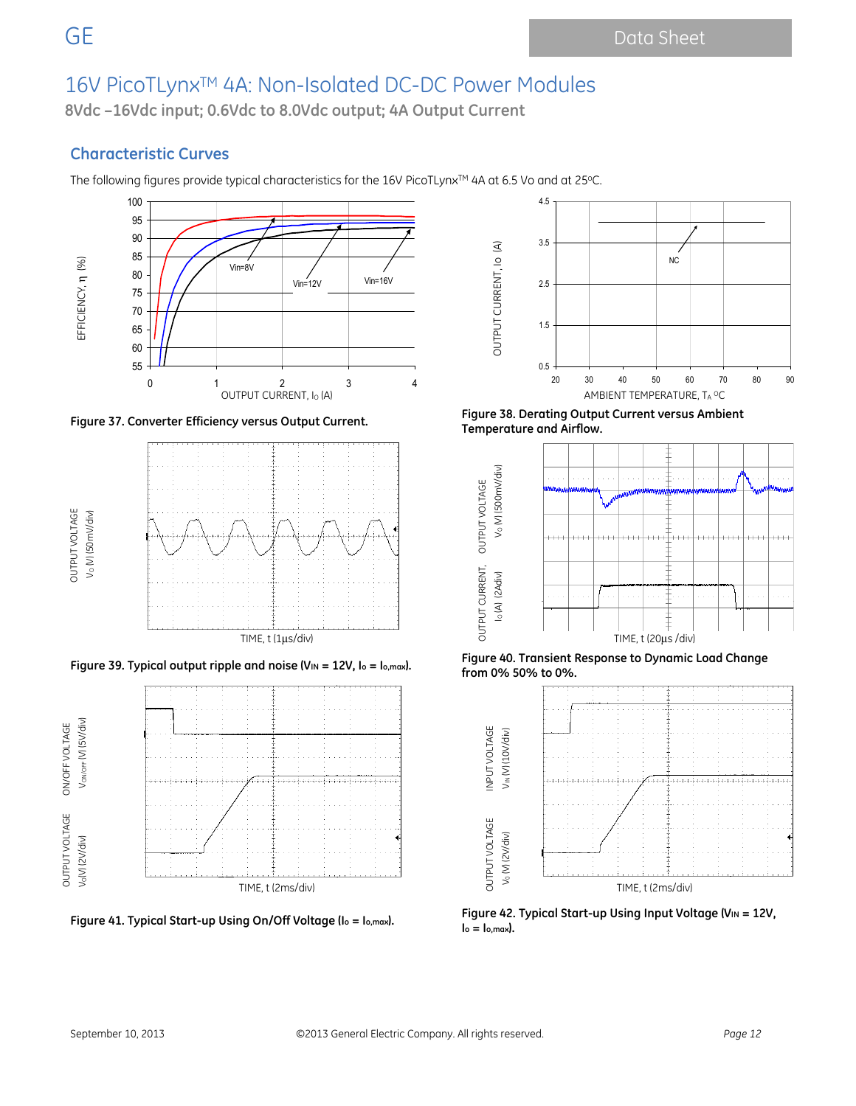**8Vdc –16Vdc input; 0.6Vdc to 8.0Vdc output; 4A Output Current**

### **Characteristic Curves**

The following figures provide typical characteristics for the 16V PicoTLynx™ 4A at 6.5 Vo and at 25°C.









**Figure 37. Converter Efficiency versus Output Current. Figure 38. Derating Output Current versus Ambient Temperature and Airflow.** 



**Figure 39. Typical output ripple and noise (VIN = 12V, Io = Io,max). Figure 40. Transient Response to Dynamic Load Change from 0% 50% to 0%.** 



Figure 41. Typical Start-up Using On/Off Voltage (I<sub>o = Io,max</sub>). **Prigure 42. Typical Start-up Using Input Voltage (V**IN = 12V,  $I_o = I_{o,max}$ ).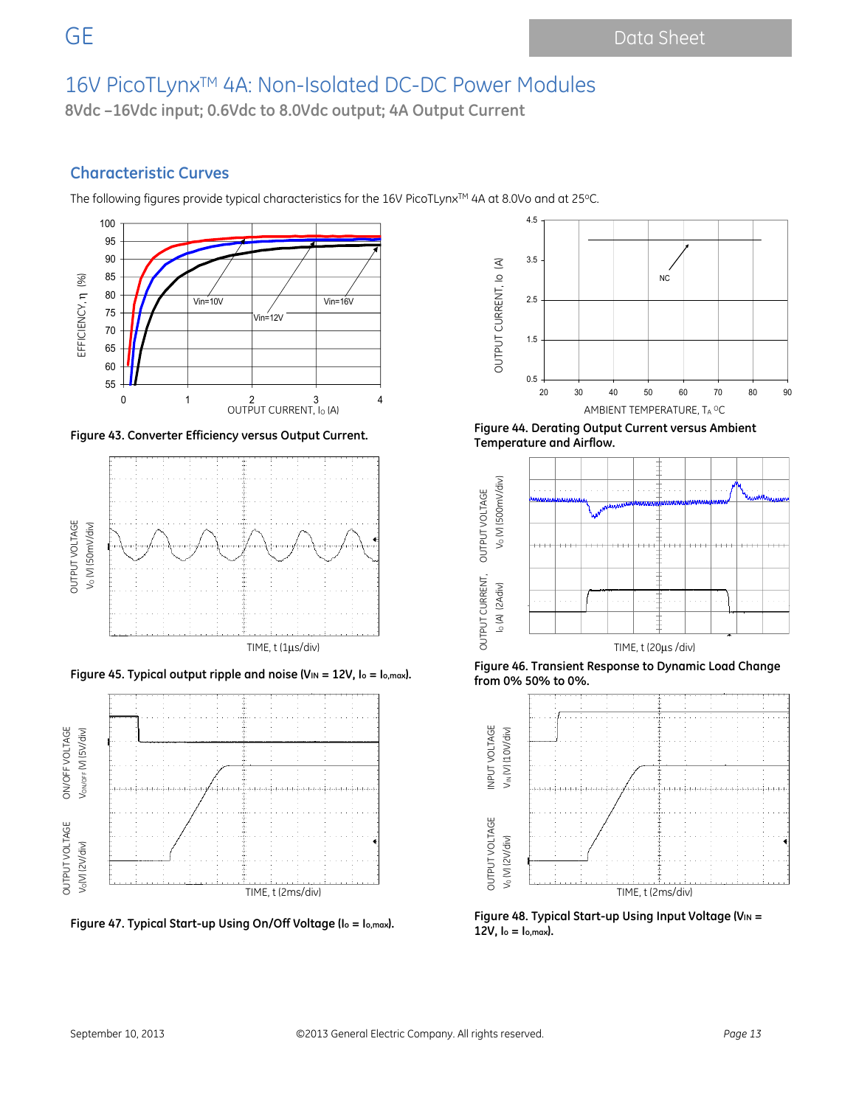**8Vdc –16Vdc input; 0.6Vdc to 8.0Vdc output; 4A Output Current**

## **Characteristic Curves**

The following figures provide typical characteristics for the 16V PicoTLynx™ 4A at 8.0Vo and at 25°C.









**Figure 43. Converter Efficiency versus Output Current. Figure 44. Derating Output Current versus Ambient Temperature and Airflow.** 



**Figure 45. Typical output ripple and noise (VIN = 12V, Io = Io,max). Figure 46. Transient Response to Dynamic Load Change from 0% 50% to 0%.** 



Figure 48. Typical Start-up Using Using On/Off Voltage (I<sub>o</sub> = 1<sub>0,max</sub>). **Figure 48. Typical Start-up Using Input Voltage (V**IN = **12V, Io = Io,max).**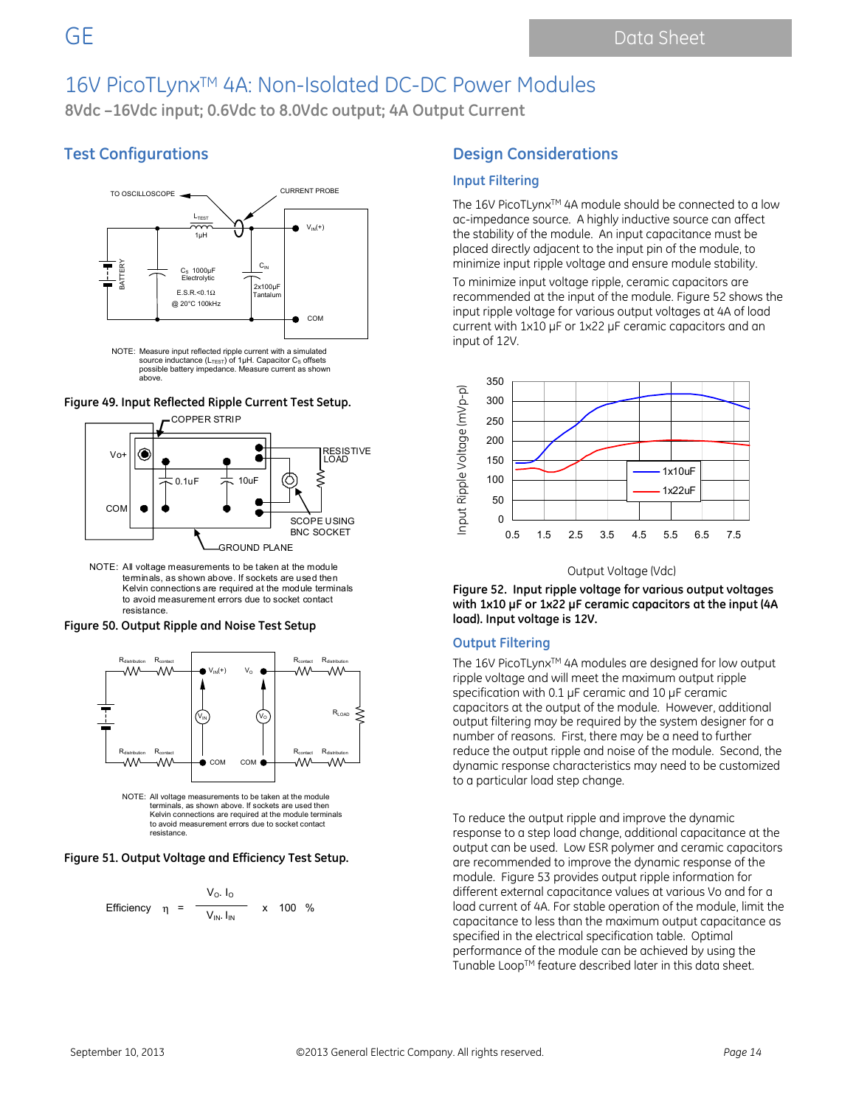**8Vdc –16Vdc input; 0.6Vdc to 8.0Vdc output; 4A Output Current**

### **Test Configurations**



NOTE: Measure input reflected ripple current with a simulated source inductance (L<sub>TEST</sub>) of 1μH. Capacitor C<sub>S</sub> offsets<br>possible battery impedance. Measure current as shown above.

**Figure 49. Input Reflected Ripple Current Test Setup.** 



NOTE: All voltage measurements to be taken at the module terminals, as shown above. If sockets are used then Kelvin connections are required at the module terminals to avoid measurement errors due to socket contact resistance.

**Figure 50. Output Ripple and Noise Test Setup** 



to avoid measurement errors due to socket contact resistance.

**Figure 51. Output Voltage and Efficiency Test Setup.** 

Efficiency 
$$
\eta = \frac{V_0. I_0}{V_{IN} I_{IN}}
$$
 x 100 %

### **Design Considerations**

#### **Input Filtering**

The 16V PicoTLynx™ 4A module should be connected to a low ac-impedance source. A highly inductive source can affect the stability of the module. An input capacitance must be placed directly adjacent to the input pin of the module, to minimize input ripple voltage and ensure module stability.

To minimize input voltage ripple, ceramic capacitors are recommended at the input of the module. Figure 52 shows the input ripple voltage for various output voltages at 4A of load current with 1x10 µF or 1x22 µF ceramic capacitors and an input of 12V.



#### Output Voltage (Vdc)

**Figure 52. Input ripple voltage for various output voltages with 1x10 µF or 1x22 µF ceramic capacitors at the input (4A load). Input voltage is 12V.** 

#### **Output Filtering**

The 16V PicoTLynx<sup>™</sup> 4A modules are designed for low output ripple voltage and will meet the maximum output ripple specification with 0.1 µF ceramic and 10 µF ceramic capacitors at the output of the module. However, additional output filtering may be required by the system designer for a number of reasons. First, there may be a need to further reduce the output ripple and noise of the module. Second, the dynamic response characteristics may need to be customized to a particular load step change.

To reduce the output ripple and improve the dynamic response to a step load change, additional capacitance at the output can be used. Low ESR polymer and ceramic capacitors are recommended to improve the dynamic response of the module. Figure 53 provides output ripple information for different external capacitance values at various Vo and for a load current of 4A. For stable operation of the module, limit the capacitance to less than the maximum output capacitance as specified in the electrical specification table. Optimal performance of the module can be achieved by using the Tunable Loop™ feature described later in this data sheet.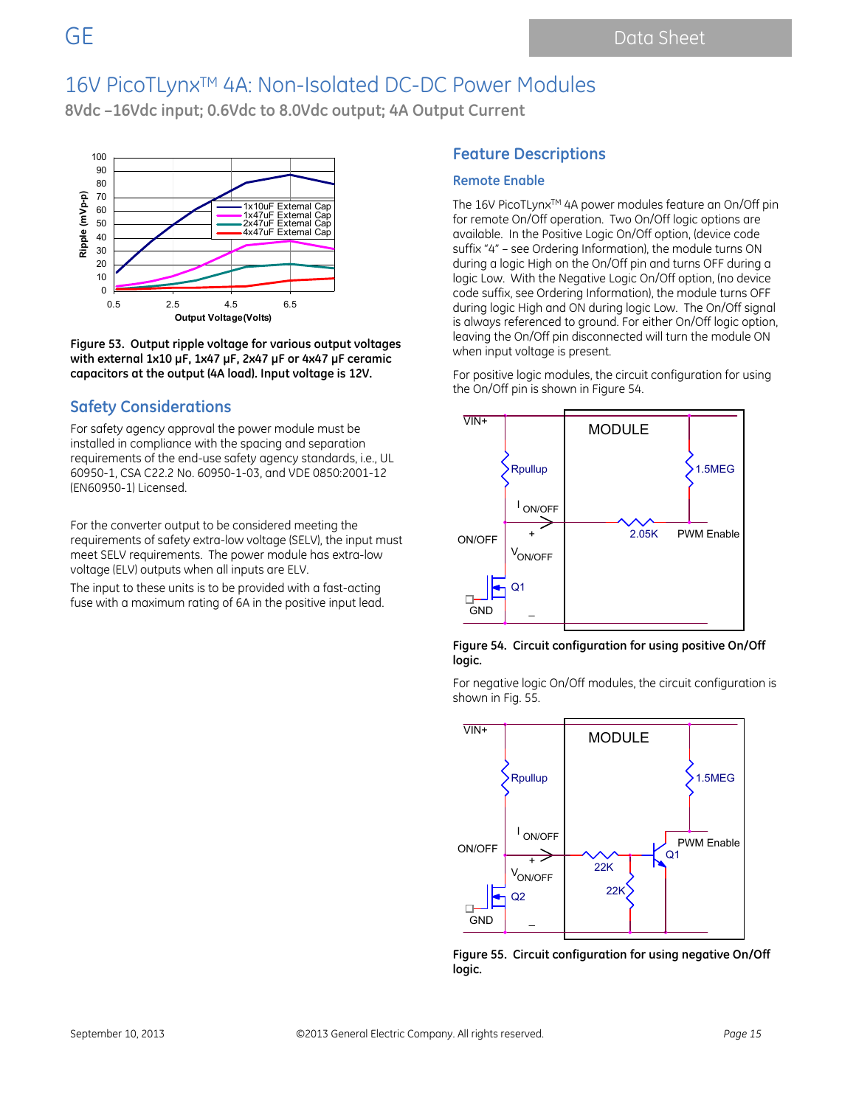## 16V PicoTLynx<sup>™</sup> 4A: Non-Isolated DC-DC Power Modules

**8Vdc –16Vdc input; 0.6Vdc to 8.0Vdc output; 4A Output Current**



**Figure 53. Output ripple voltage for various output voltages with external 1x10 µF, 1x47 µF, 2x47 µF or 4x47 µF ceramic capacitors at the output (4A load). Input voltage is 12V.** 

### **Safety Considerations**

For safety agency approval the power module must be installed in compliance with the spacing and separation requirements of the end-use safety agency standards, i.e., UL 60950-1, CSA C22.2 No. 60950-1-03, and VDE 0850:2001-12 (EN60950-1) Licensed.

For the converter output to be considered meeting the requirements of safety extra-low voltage (SELV), the input must meet SELV requirements. The power module has extra-low voltage (ELV) outputs when all inputs are ELV.

The input to these units is to be provided with a fast-acting fuse with a maximum rating of 6A in the positive input lead.

### **Feature Descriptions**

### **Remote Enable**

The 16V PicoTLynx<sup>™</sup> 4A power modules feature an On/Off pin for remote On/Off operation. Two On/Off logic options are available. In the Positive Logic On/Off option, (device code suffix "4" – see Ordering Information), the module turns ON during a logic High on the On/Off pin and turns OFF during a logic Low. With the Negative Logic On/Off option, (no device code suffix, see Ordering Information), the module turns OFF during logic High and ON during logic Low. The On/Off signal is always referenced to ground. For either On/Off logic option, leaving the On/Off pin disconnected will turn the module ON when input voltage is present.

For positive logic modules, the circuit configuration for using the On/Off pin is shown in Figure 54.



**Figure 54. Circuit configuration for using positive On/Off logic.** 

For negative logic On/Off modules, the circuit configuration is shown in Fig. 55.



**Figure 55. Circuit configuration for using negative On/Off logic.**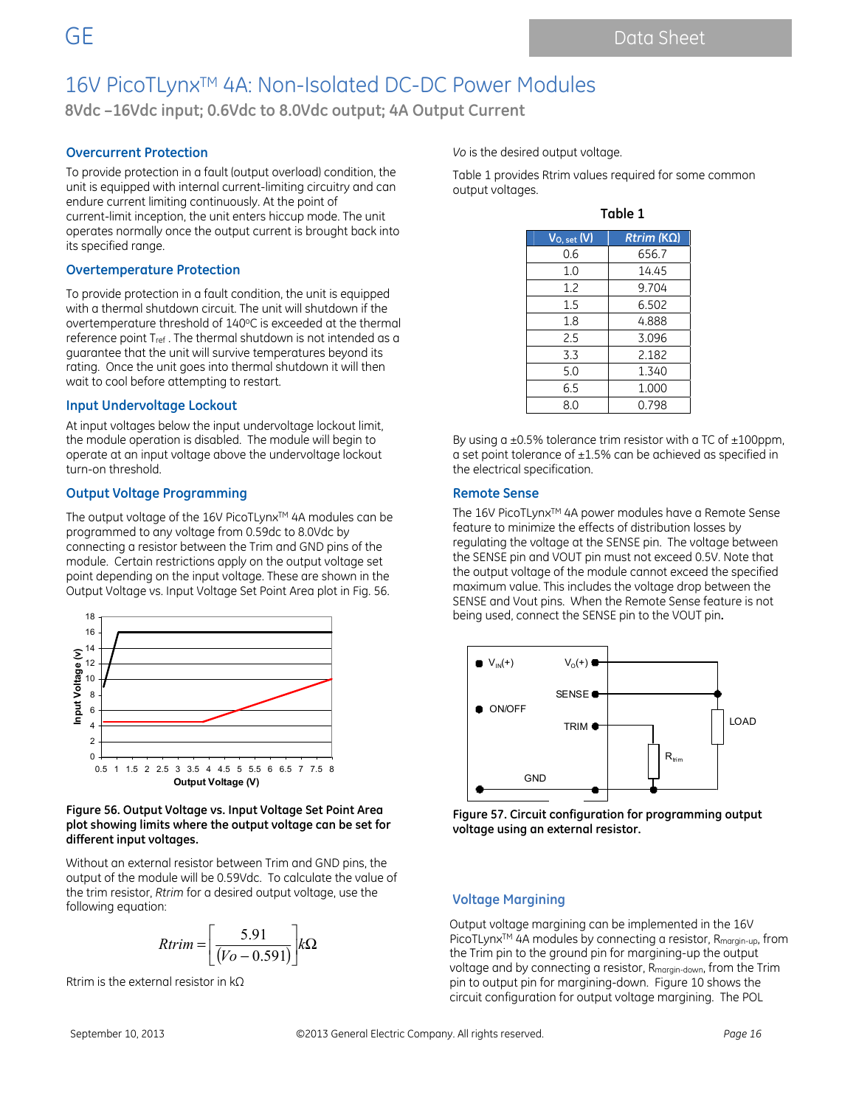**8Vdc –16Vdc input; 0.6Vdc to 8.0Vdc output; 4A Output Current**

#### **Overcurrent Protection**

To provide protection in a fault (output overload) condition, the unit is equipped with internal current-limiting circuitry and can endure current limiting continuously. At the point of current-limit inception, the unit enters hiccup mode. The unit operates normally once the output current is brought back into its specified range.

#### **Overtemperature Protection**

To provide protection in a fault condition, the unit is equipped with a thermal shutdown circuit. The unit will shutdown if the overtemperature threshold of 140°C is exceeded at the thermal reference point T<sub>ref</sub>. The thermal shutdown is not intended as a guarantee that the unit will survive temperatures beyond its rating. Once the unit goes into thermal shutdown it will then wait to cool before attempting to restart.

#### **Input Undervoltage Lockout**

At input voltages below the input undervoltage lockout limit, the module operation is disabled. The module will begin to operate at an input voltage above the undervoltage lockout turn-on threshold.

#### **Output Voltage Programming**

The output voltage of the 16V PicoTLynx™ 4A modules can be programmed to any voltage from 0.59dc to 8.0Vdc by connecting a resistor between the Trim and GND pins of the module. Certain restrictions apply on the output voltage set point depending on the input voltage. These are shown in the Output Voltage vs. Input Voltage Set Point Area plot in Fig. 56.



#### **Figure 56. Output Voltage vs. Input Voltage Set Point Area plot showing limits where the output voltage can be set for different input voltages.**

Without an external resistor between Trim and GND pins, the output of the module will be 0.59Vdc. To calculate the value of the trim resistor, *Rtrim* for a desired output voltage, use the following equation:

$$
Rtrim = \left[\frac{5.91}{(Vo - 0.591)}\right] k\Omega
$$

Rtrim is the external resistor in kΩ

*Vo* is the desired output voltage.

Table 1 provides Rtrim values required for some common output voltages.

| ۱ |  |
|---|--|
|---|--|

| $V_{O, set}(V)$ | $Rtrim (K\Omega)$ |
|-----------------|-------------------|
| 0.6             | 656.7             |
| 1.0             | 14.45             |
| 1.2             | 9.704             |
| 1.5             | 6.502             |
| 1.8             | 4.888             |
| 2.5             | 3.096             |
| 3.3             | 2.182             |
| 5.0             | 1.340             |
| 6.5             | 1.000             |
| 8.0             | 0.798             |

By using  $a \pm 0.5$ % tolerance trim resistor with a TC of  $\pm 100$ ppm, a set point tolerance of ±1.5% can be achieved as specified in the electrical specification.

#### **Remote Sense**

The 16V PicoTLynx™ 4A power modules have a Remote Sense feature to minimize the effects of distribution losses by regulating the voltage at the SENSE pin. The voltage between the SENSE pin and VOUT pin must not exceed 0.5V. Note that the output voltage of the module cannot exceed the specified maximum value. This includes the voltage drop between the SENSE and Vout pins. When the Remote Sense feature is not being used, connect the SENSE pin to the VOUT pin**.** 



**Figure 57. Circuit configuration for programming output voltage using an external resistor.** 

#### **Voltage Margining**

Output voltage margining can be implemented in the 16V PicoTLynx<sup>™</sup> 4A modules by connecting a resistor, R<sub>margin-up</sub>, from the Trim pin to the ground pin for margining-up the output voltage and by connecting a resistor, Rmargin-down, from the Trim pin to output pin for margining-down. Figure 10 shows the circuit configuration for output voltage margining. The POL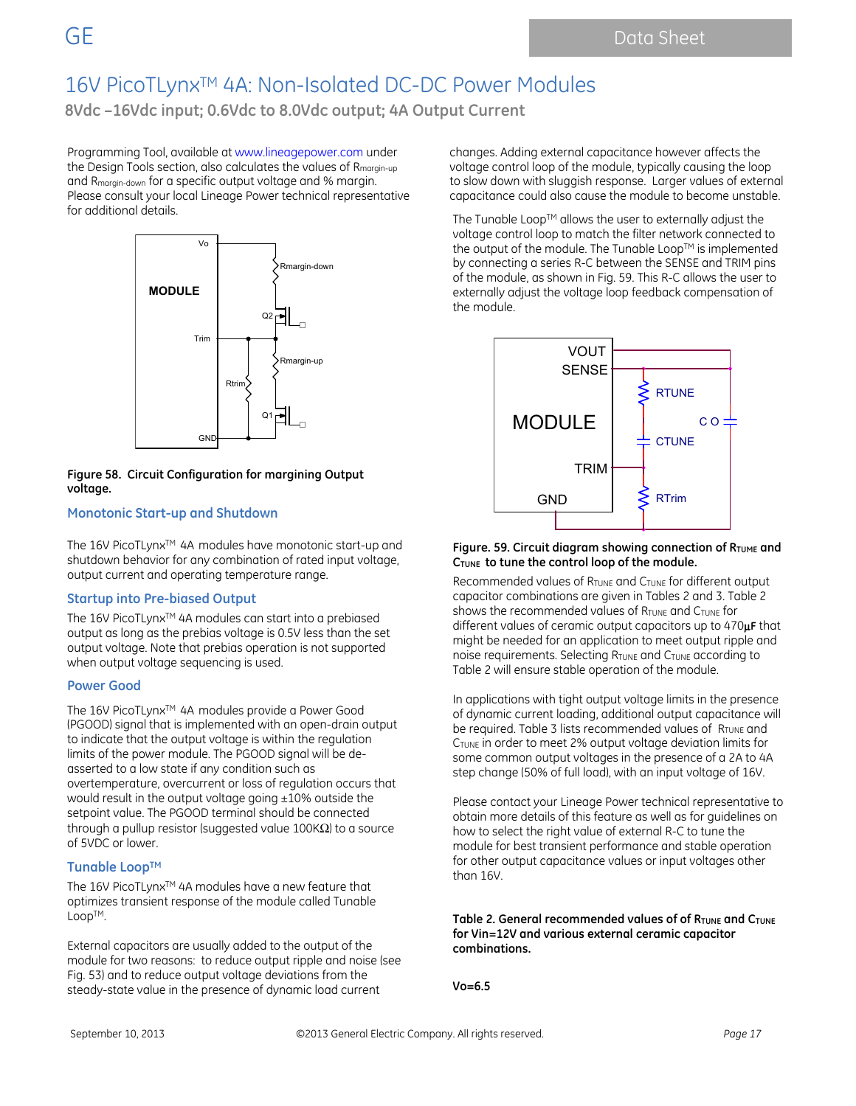**8Vdc –16Vdc input; 0.6Vdc to 8.0Vdc output; 4A Output Current**

Programming Tool, available at www.lineagepower.com under the Design Tools section, also calculates the values of Rmargin-up and Rmargin-down for a specific output voltage and % margin. Please consult your local Lineage Power technical representative for additional details.



#### **Figure 58. Circuit Configuration for margining Output voltage.**

#### **Monotonic Start-up and Shutdown**

The 16V PicoTLynx™ 4A modules have monotonic start-up and shutdown behavior for any combination of rated input voltage, output current and operating temperature range.

#### **Startup into Pre-biased Output**

The 16V PicoTLynx™ 4A modules can start into a prebiased output as long as the prebias voltage is 0.5V less than the set output voltage. Note that prebias operation is not supported when output voltage sequencing is used.

#### **Power Good**

The 16V PicoTLynx™ 4A modules provide a Power Good (PGOOD) signal that is implemented with an open-drain output to indicate that the output voltage is within the regulation limits of the power module. The PGOOD signal will be deasserted to a low state if any condition such as overtemperature, overcurrent or loss of regulation occurs that would result in the output voltage going ±10% outside the setpoint value. The PGOOD terminal should be connected through a pullup resistor (suggested value 100K $\Omega$ ) to a source of 5VDC or lower.

#### **Tunable LoopTM**

The 16V PicoTLynx™ 4A modules have a new feature that optimizes transient response of the module called Tunable LoopTM.

External capacitors are usually added to the output of the module for two reasons: to reduce output ripple and noise (see Fig. 53) and to reduce output voltage deviations from the steady-state value in the presence of dynamic load current

changes. Adding external capacitance however affects the voltage control loop of the module, typically causing the loop to slow down with sluggish response. Larger values of external capacitance could also cause the module to become unstable.

The Tunable Loop $TM$  allows the user to externally adjust the voltage control loop to match the filter network connected to the output of the module. The Tunable Loop™ is implemented by connecting a series R-C between the SENSE and TRIM pins of the module, as shown in Fig. 59. This R-C allows the user to externally adjust the voltage loop feedback compensation of the module.



#### Figure. 59. Circuit diagram showing connection of R<sub>TUME</sub> and **CTUNE to tune the control loop of the module.**

Recommended values of RTUNE and CTUNE for different output capacitor combinations are given in Tables 2 and 3. Table 2 shows the recommended values of RTUNE and CTUNE for different values of ceramic output capacitors up to 470μ**F** that might be needed for an application to meet output ripple and noise requirements. Selecting  $R_{\text{TUNE}}$  and  $C_{\text{TUNE}}$  according to Table 2 will ensure stable operation of the module.

In applications with tight output voltage limits in the presence of dynamic current loading, additional output capacitance will be required. Table 3 lists recommended values of RTUNE and CTUNE in order to meet 2% output voltage deviation limits for some common output voltages in the presence of a 2A to 4A step change (50% of full load), with an input voltage of 16V.

Please contact your Lineage Power technical representative to obtain more details of this feature as well as for guidelines on how to select the right value of external R-C to tune the module for best transient performance and stable operation for other output capacitance values or input voltages other than 16V.

Table 2. General recommended values of of R<sub>TUNE</sub> and C<sub>TUNE</sub> **for Vin=12V and various external ceramic capacitor combinations.** 

**Vo=6.5**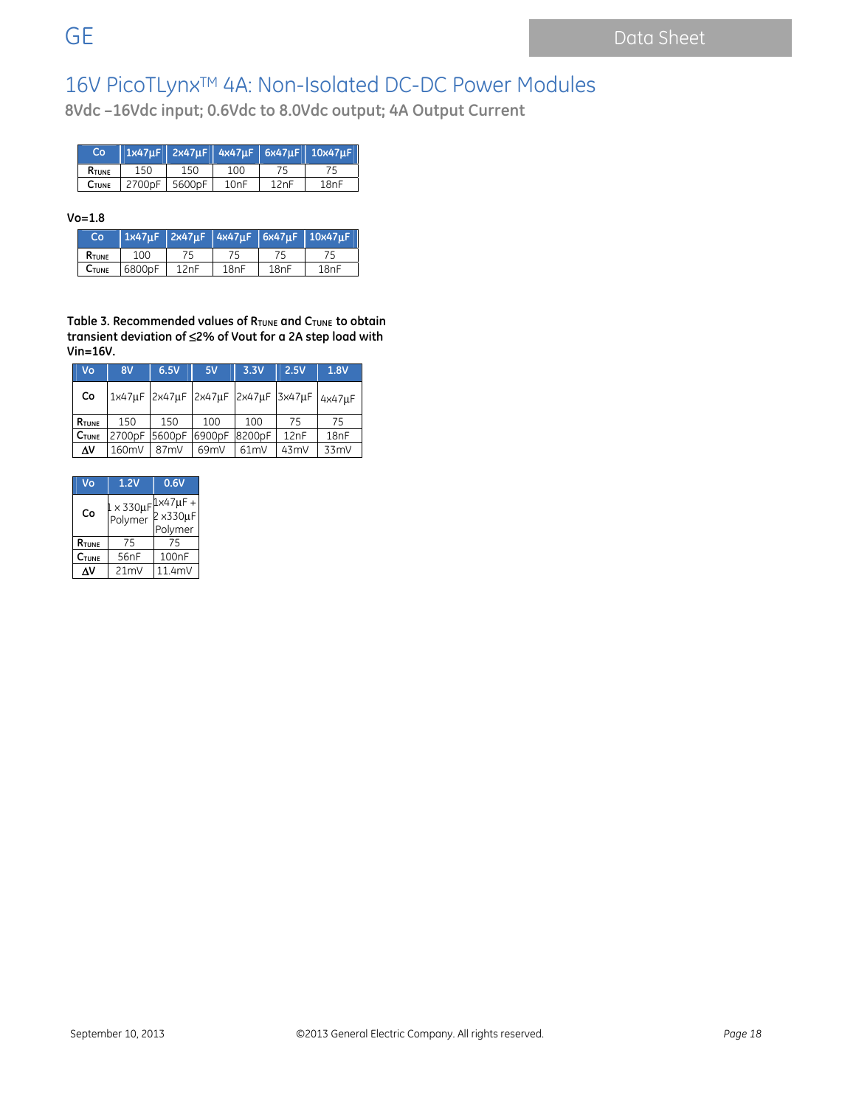**8Vdc –16Vdc input; 0.6Vdc to 8.0Vdc output; 4A Output Current**

| Co            |        |        |      |      | $1x47\mu$ F   2x47 $\mu$ F   4x47 $\mu$ F   6x47 $\mu$ F   10x47 $\mu$ F |
|---------------|--------|--------|------|------|--------------------------------------------------------------------------|
| <b>R</b> TUNE | 150    | 150    | 100  |      |                                                                          |
| <b>C</b> TUNE | 2700pF | 5600pF | 10nF | 12nF | 18nF                                                                     |

#### **Vo=1.8**

| Co           |        |      |      |      | $1x47\mu$ F 2x47 $\mu$ F 4x47 $\mu$ F 6x47 $\mu$ F 10x47 $\mu$ F |
|--------------|--------|------|------|------|------------------------------------------------------------------|
| RTUNE        | 100    |      |      |      |                                                                  |
| <b>CTUNE</b> | 6800pF | 12nF | 18nF | 18nF | 18nF                                                             |

Table 3. Recommended values of RTUNE and CTUNE to obtain **transient deviation of** ≤**2% of Vout for a 2A step load with Vin=16V.** 

| Vo    | 8V            | 6.5V | 5V                                 | 3.3V   | 2.5V | 1.8V             |
|-------|---------------|------|------------------------------------|--------|------|------------------|
| Co    |               |      | 1x47uF 2x47uF 2x47uF 2x47uF 3x47uF |        |      | $4x47\mu F$      |
| RTUNE | 150           | 150  | 100                                | 100    | 75   | 75               |
| CTUNE | 2700pF 5600pF |      | 6900pF                             | 8200pF | 12nF | 18 <sub>nF</sub> |
| Δ٧    | 160mV         | 87mV | 69mV                               | 61mV   | 43mV | 33mV             |

| V٥                | 1.2V                            | 0.6V                                       |
|-------------------|---------------------------------|--------------------------------------------|
| C٥                | $1 \times 330 \mu F$<br>Polymer | $1\times 47 \mu F +$<br>2x330µF<br>Polymer |
| RTUNE             | 75                              | 75                                         |
| $C_{\text{TUNE}}$ | 56 <sub>nF</sub>                | 100 <sub>nF</sub>                          |
| ٨V                | 21mV                            | 11.4mV                                     |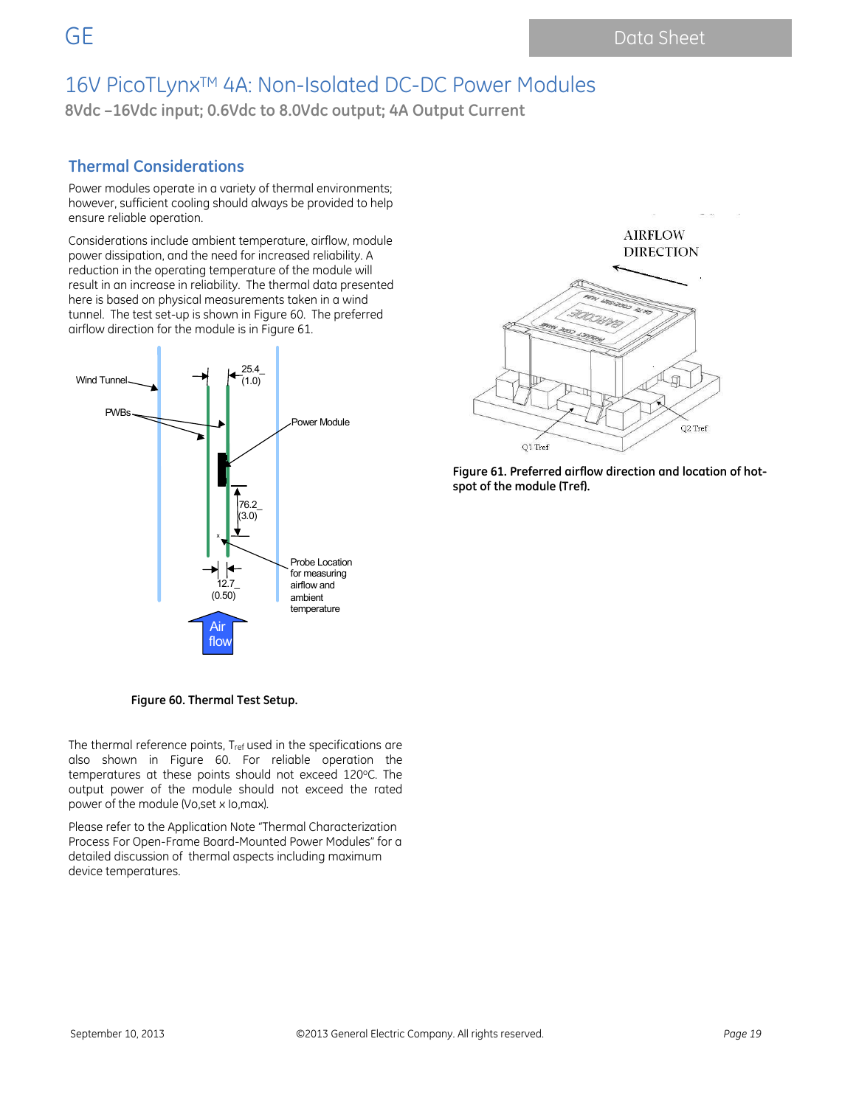## 16V PicoTLynx<sup>™</sup> 4A: Non-Isolated DC-DC Power Modules

**8Vdc –16Vdc input; 0.6Vdc to 8.0Vdc output; 4A Output Current**

### **Thermal Considerations**

Power modules operate in a variety of thermal environments; however, sufficient cooling should always be provided to help ensure reliable operation.

Considerations include ambient temperature, airflow, module power dissipation, and the need for increased reliability. A reduction in the operating temperature of the module will result in an increase in reliability. The thermal data presented here is based on physical measurements taken in a wind tunnel. The test set-up is shown in Figure 60. The preferred airflow direction for the module is in Figure 61.





**AIRFLOW DIRECTION** Q2 Tref

**Figure 61. Preferred airflow direction and location of hot-**

**Figure 60. Thermal Test Setup.** 

The thermal reference points, Tref used in the specifications are also shown in Figure 60. For reliable operation the temperatures at these points should not exceed 120°C. The output power of the module should not exceed the rated power of the module (Vo,set x Io,max).

Please refer to the Application Note "Thermal Characterization Process For Open-Frame Board-Mounted Power Modules" for a detailed discussion of thermal aspects including maximum device temperatures.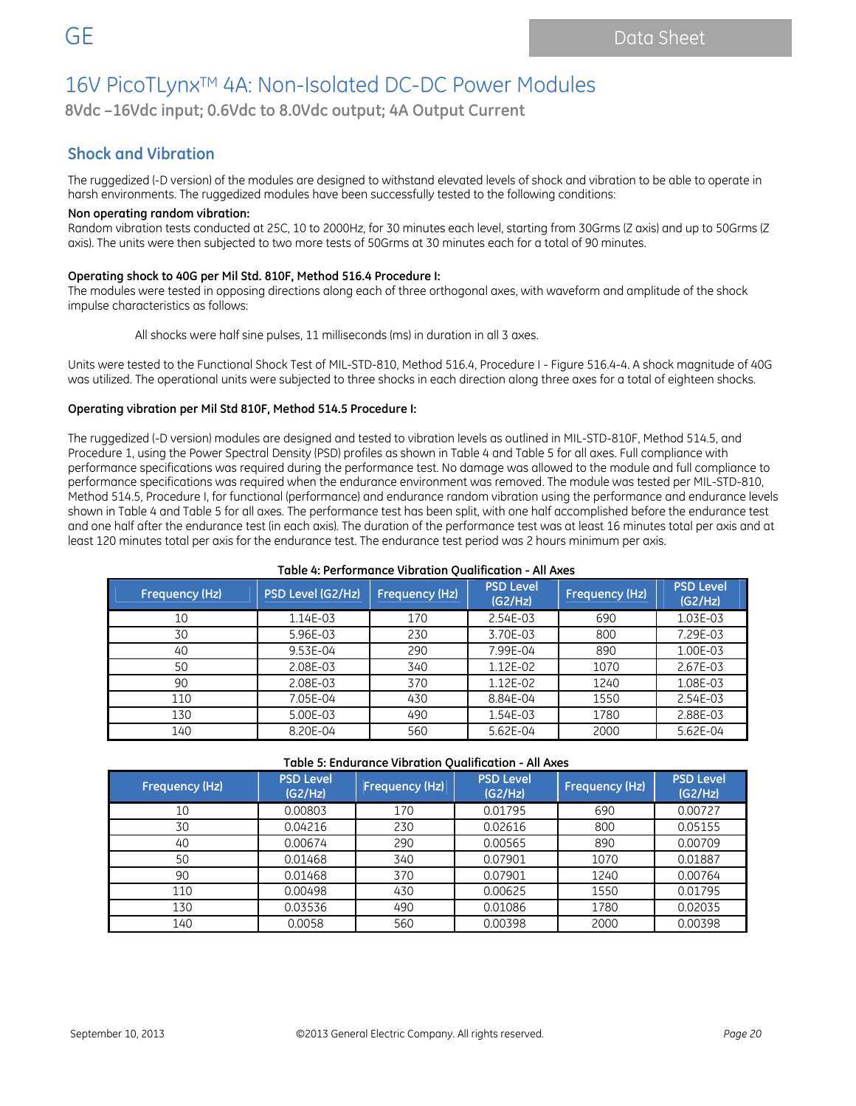**8Vdc –16Vdc input; 0.6Vdc to 8.0Vdc output; 4A Output Current**

### **Shock and Vibration**

The ruggedized (-D version) of the modules are designed to withstand elevated levels of shock and vibration to be able to operate in harsh environments. The ruggedized modules have been successfully tested to the following conditions:

#### **Non operating random vibration:**

Random vibration tests conducted at 25C, 10 to 2000Hz, for 30 minutes each level, starting from 30Grms (Z axis) and up to 50Grms (Z axis). The units were then subjected to two more tests of 50Grms at 30 minutes each for a total of 90 minutes.

#### **Operating shock to 40G per Mil Std. 810F, Method 516.4 Procedure I:**

The modules were tested in opposing directions along each of three orthogonal axes, with waveform and amplitude of the shock impulse characteristics as follows:

All shocks were half sine pulses, 11 milliseconds (ms) in duration in all 3 axes.

Units were tested to the Functional Shock Test of MIL-STD-810, Method 516.4, Procedure I - Figure 516.4-4. A shock magnitude of 40G was utilized. The operational units were subjected to three shocks in each direction along three axes for a total of eighteen shocks.

#### **Operating vibration per Mil Std 810F, Method 514.5 Procedure I:**

The ruggedized (-D version) modules are designed and tested to vibration levels as outlined in MIL-STD-810F, Method 514.5, and Procedure 1, using the Power Spectral Density (PSD) profiles as shown in Table 4 and Table 5 for all axes. Full compliance with performance specifications was required during the performance test. No damage was allowed to the module and full compliance to performance specifications was required when the endurance environment was removed. The module was tested per MIL-STD-810, Method 514.5, Procedure I, for functional (performance) and endurance random vibration using the performance and endurance levels shown in Table 4 and Table 5 for all axes. The performance test has been split, with one half accomplished before the endurance test and one half after the endurance test (in each axis). The duration of the performance test was at least 16 minutes total per axis and at least 120 minutes total per axis for the endurance test. The endurance test period was 2 hours minimum per axis.

**Table 4: Performance Vibration Qualification - All Axes**

| PSD Level (G2/Hz)<br><b>Frequency (Hz)</b> |          | <b>Frequency (Hz)</b> | <b>PSD Level</b><br>(G2/Hz) | Frequency (Hz) | <b>PSD Level</b><br>(G2/Hz) |
|--------------------------------------------|----------|-----------------------|-----------------------------|----------------|-----------------------------|
| 10                                         | 1.14E-03 | 170                   | 2.54E-03                    | 690            | 1.03E-03                    |
| 30                                         | 5.96E-03 | 230                   | 3.70E-03                    | 800            | 7.29E-03                    |
| 40                                         | 9.53E-04 | 290                   | 7.99E-04                    | 890            | 1.00E-03                    |
| 50                                         | 2.08E-03 | 340                   | 1.12E-02                    | 1070           | 2.67E-03                    |
| 90                                         | 2.08E-03 | 370                   | 1.12E-02                    | 1240           | 1.08E-03                    |
| 110                                        | 7.05E-04 | 430                   | 8.84E-04                    | 1550           | 2.54E-03                    |
| 130                                        | 5.00E-03 | 490                   | 1.54E-03                    | 1780           | 2.88E-03                    |
| 140                                        | 8.20E-04 | 560                   | 5.62E-04                    | 2000           | 5.62E-04                    |

#### **Table 5: Endurance Vibration Qualification - All Axes**

| Frequency (Hz) | <b>PSD Level</b><br>(G2/Hz) | <b>Frequency (Hz)</b> | <b>PSD Level</b><br>(G2/Hz) | <b>Frequency (Hz)</b> | <b>PSD Level</b><br>(G2/Hz) |
|----------------|-----------------------------|-----------------------|-----------------------------|-----------------------|-----------------------------|
| 10             | 0.00803                     | 170                   | 0.01795                     | 690                   | 0.00727                     |
| 30             | 0.04216                     | 230                   | 0.02616                     | 800                   | 0.05155                     |
| 40             | 0.00674                     | 290                   | 0.00565                     | 890                   | 0.00709                     |
| 50             | 0.01468                     | 340                   | 0.07901                     | 1070                  | 0.01887                     |
| 90             | 0.01468                     | 370                   | 0.07901                     | 1240                  | 0.00764                     |
| 110            | 0.00498                     | 430                   | 0.00625                     | 1550                  | 0.01795                     |
| 130            | 0.03536                     | 490                   | 0.01086                     | 1780                  | 0.02035                     |
| 140            | 0.0058                      | 560                   | 0.00398                     | 2000                  | 0.00398                     |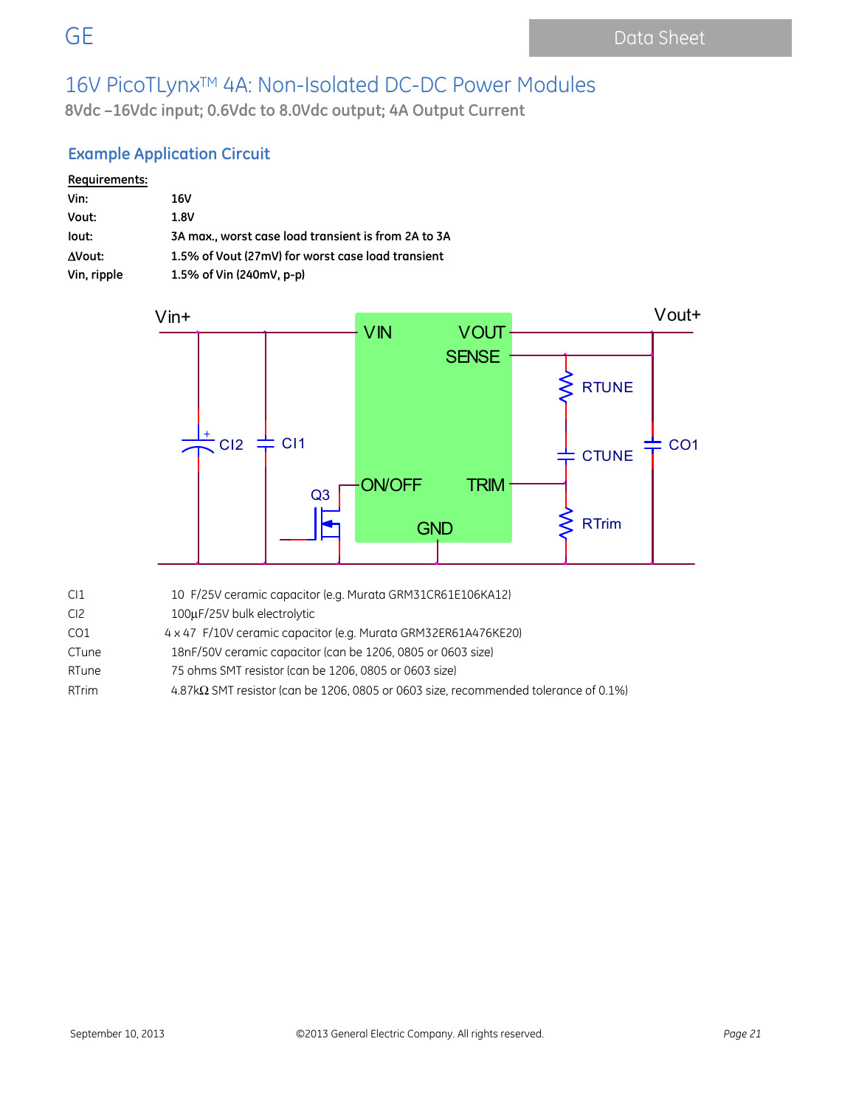**8Vdc –16Vdc input; 0.6Vdc to 8.0Vdc output; 4A Output Current**

### **Example Application Circuit**

| Requirements: |                                                     |
|---------------|-----------------------------------------------------|
| Vin:          | 16V                                                 |
| Vout:         | 1.8V                                                |
| lout:         | 3A max., worst case load transient is from 2A to 3A |
| AVout:        | 1.5% of Vout (27mV) for worst case load transient   |
| Vin, ripple   | 1.5% of Vin (240mV, p-p)                            |



| CI1 | 10 F/25V ceramic capacitor (e.g. Murata GRM31CR61E106KA12) |
|-----|------------------------------------------------------------|
| CI2 | 100µF/25V bulk electrolytic                                |

- CO1 4 x 47F/10V ceramic capacitor (e.g. Murata GRM32ER61A476KE20)
- CTune 18nF/50V ceramic capacitor (can be 1206, 0805 or 0603 size)
- RTune 75 ohms SMT resistor (can be 1206, 0805 or 0603 size)
- RTrim 4.87kΩ SMT resistor (can be 1206, 0805 or 0603 size, recommended tolerance of 0.1%)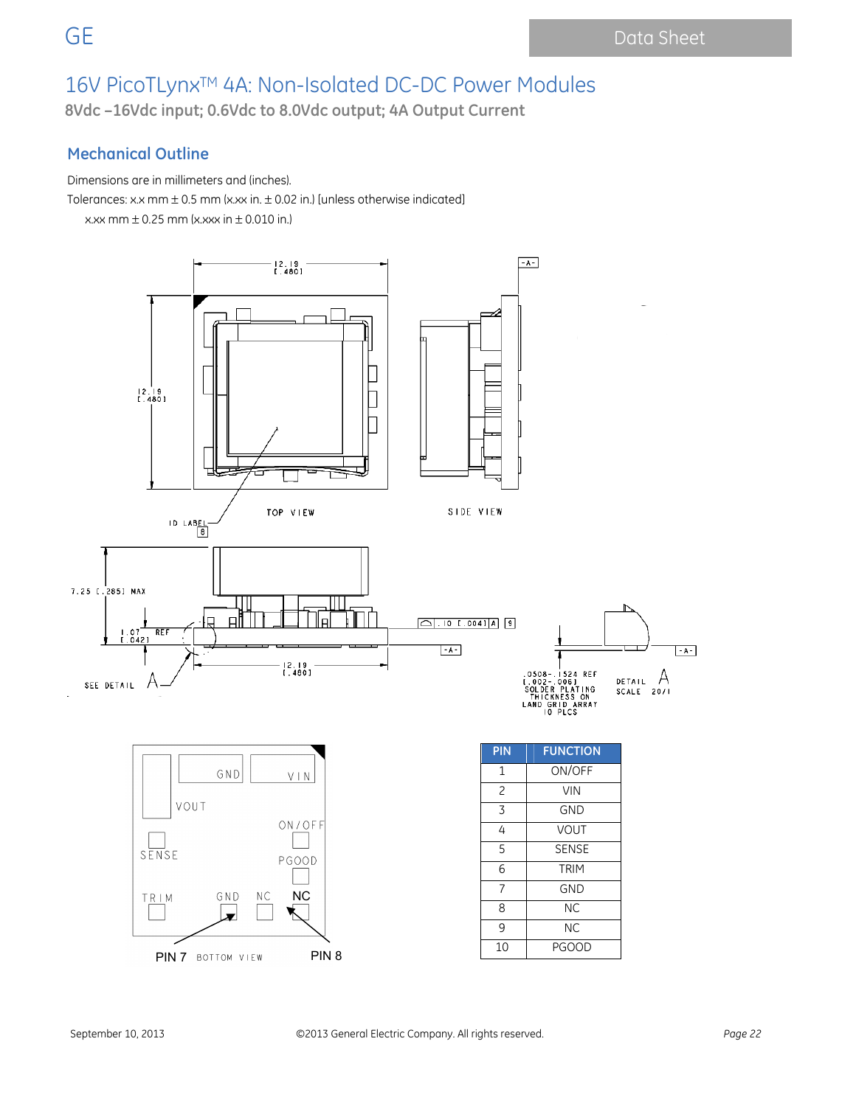**8Vdc –16Vdc input; 0.6Vdc to 8.0Vdc output; 4A Output Current**

### **Mechanical Outline**

Dimensions are in millimeters and (inches).

Tolerances: x.x mm  $\pm$  0.5 mm (x.xx in.  $\pm$  0.02 in.) [unless otherwise indicated]

x.xx mm  $\pm$  0.25 mm (x.xxx in  $\pm$  0.010 in.)

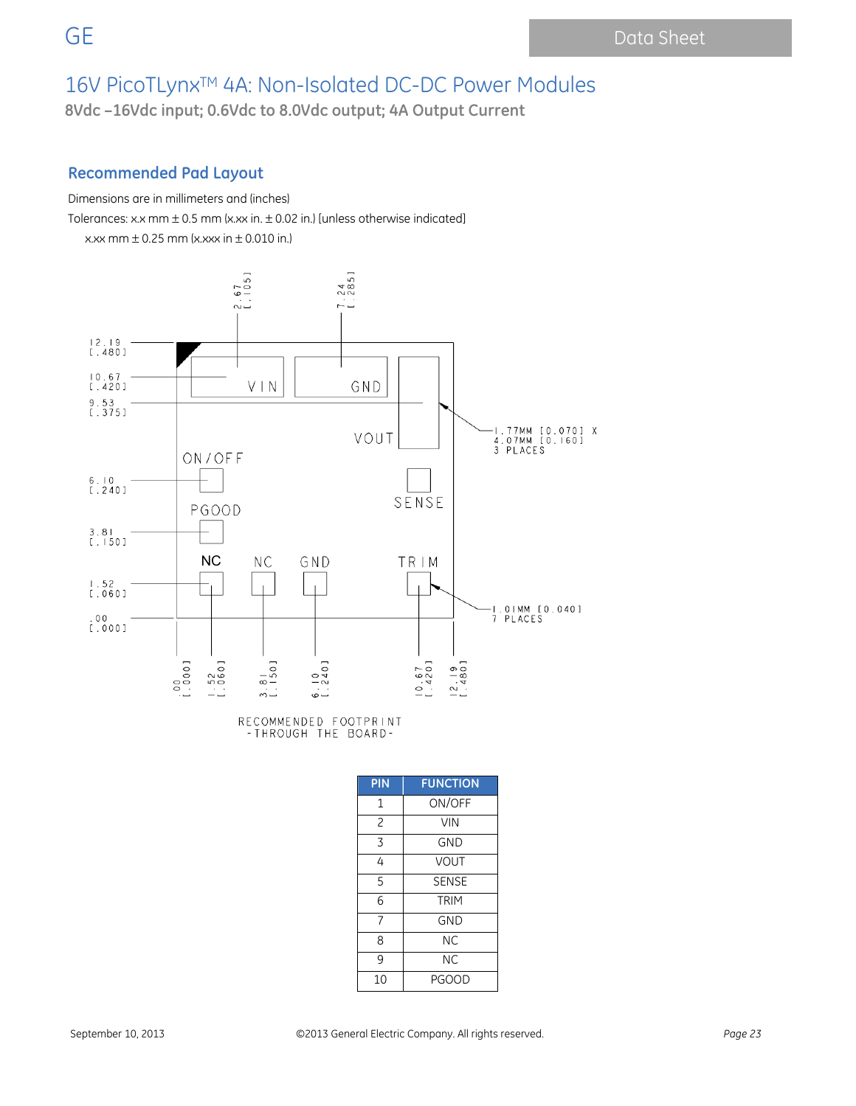**8Vdc –16Vdc input; 0.6Vdc to 8.0Vdc output; 4A Output Current**

### **Recommended Pad Layout**

Dimensions are in millimeters and (inches)

Tolerances: x.x mm  $\pm$  0.5 mm (x.xx in.  $\pm$  0.02 in.) [unless otherwise indicated]

 $x.xx$  mm  $\pm$  0.25 mm ( $x.xxx$  in  $\pm$  0.010 in.)



RECOMMENDED FOOTPRINT<br>-THROUGH THE BOARD-

| PIN            | <b>FUNCTION</b> |  |  |
|----------------|-----------------|--|--|
| 1              | ON/OFF          |  |  |
| $\overline{c}$ | <b>VIN</b>      |  |  |
| 3              | <b>GND</b>      |  |  |
| 4              | <b>VOUT</b>     |  |  |
| 5              | <b>SENSE</b>    |  |  |
| 6              | <b>TRIM</b>     |  |  |
| 7              | <b>GND</b>      |  |  |
| 8              | <b>NC</b>       |  |  |
| 9              | <b>NC</b>       |  |  |
| 10             | <b>PGOOD</b>    |  |  |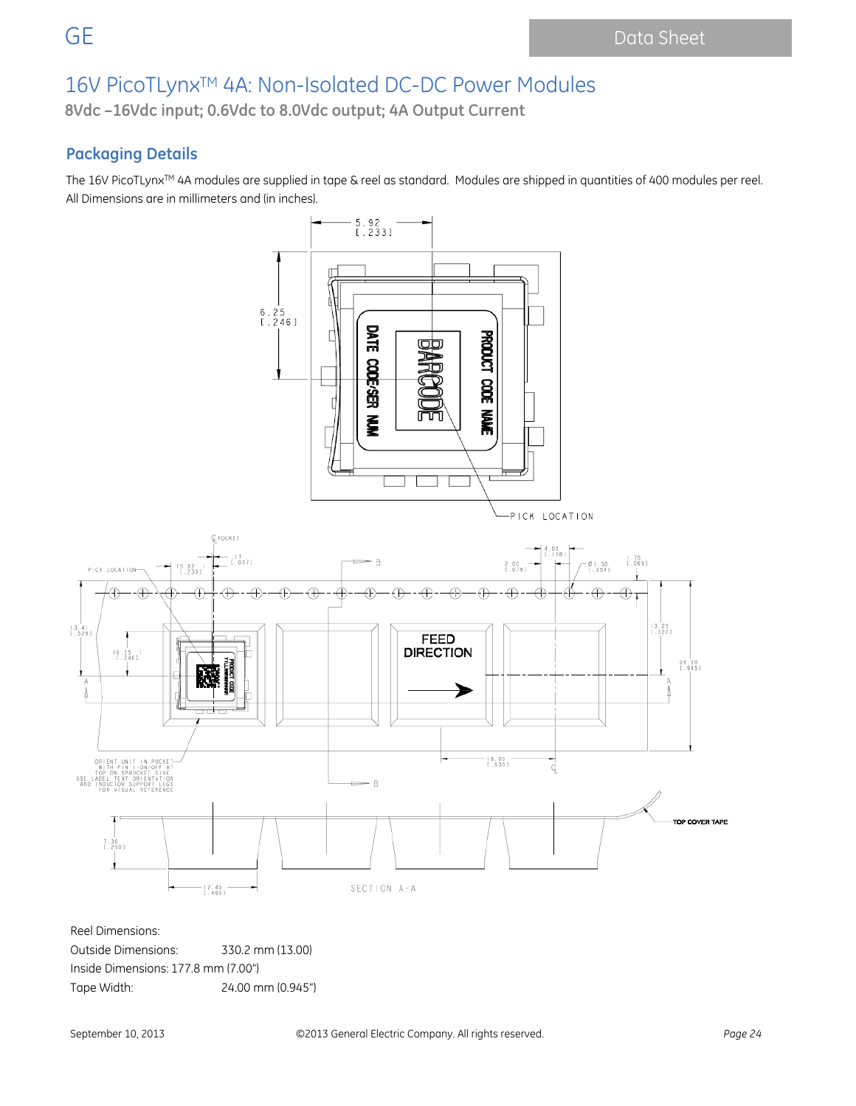**8Vdc –16Vdc input; 0.6Vdc to 8.0Vdc output; 4A Output Current**

### **Packaging Details**

The 16V PicoTLynx™ 4A modules are supplied in tape & reel as standard. Modules are shipped in quantities of 400 modules per reel. All Dimensions are in millimeters and (in inches).



Reel Dimensions:

Outside Dimensions: 330.2 mm (13.00) Inside Dimensions: 177.8 mm (7.00") Tape Width: 24.00 mm (0.945")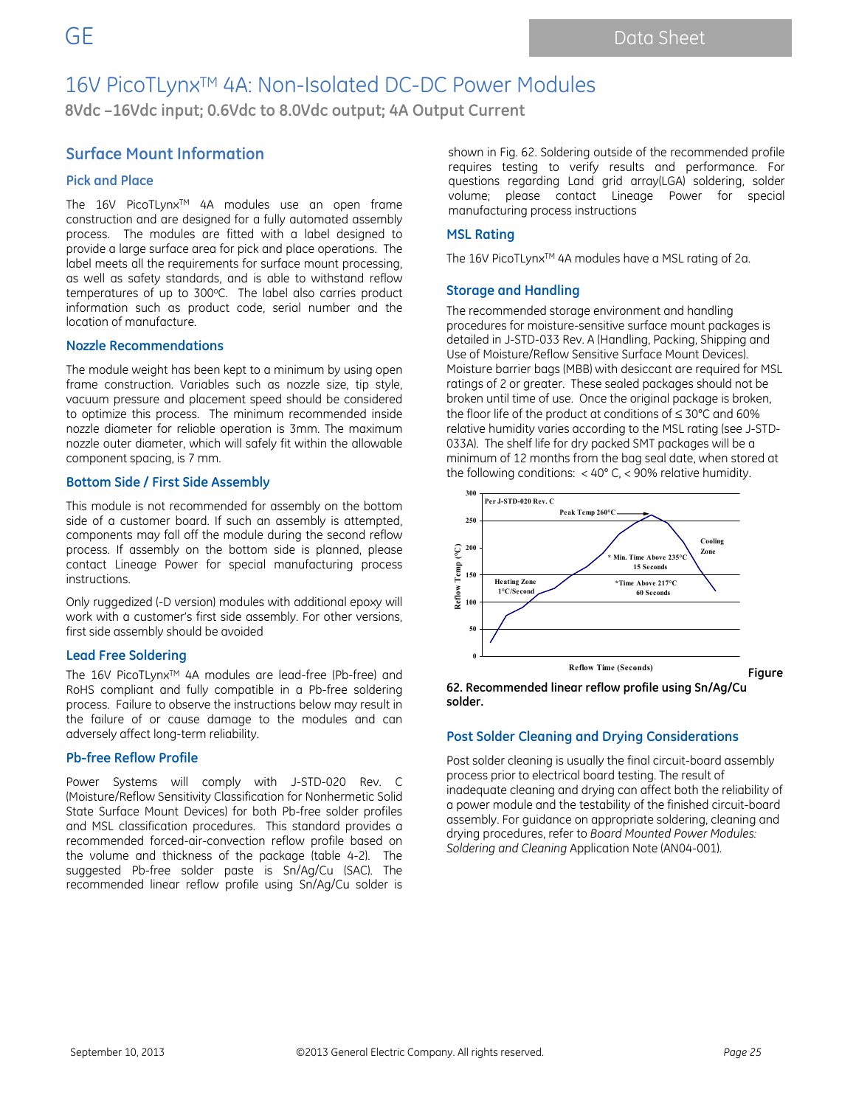**8Vdc –16Vdc input; 0.6Vdc to 8.0Vdc output; 4A Output Current**

### **Surface Mount Information**

#### **Pick and Place**

The 16V PicoTLynx<sup>™</sup> 4A modules use an open frame construction and are designed for a fully automated assembly process. The modules are fitted with a label designed to provide a large surface area for pick and place operations. The label meets all the requirements for surface mount processing, as well as safety standards, and is able to withstand reflow temperatures of up to 300°C. The label also carries product information such as product code, serial number and the location of manufacture.

#### **Nozzle Recommendations**

The module weight has been kept to a minimum by using open frame construction. Variables such as nozzle size, tip style, vacuum pressure and placement speed should be considered to optimize this process. The minimum recommended inside nozzle diameter for reliable operation is 3mm. The maximum nozzle outer diameter, which will safely fit within the allowable component spacing, is 7 mm.

#### **Bottom Side / First Side Assembly**

This module is not recommended for assembly on the bottom side of a customer board. If such an assembly is attempted, components may fall off the module during the second reflow process. If assembly on the bottom side is planned, please contact Lineage Power for special manufacturing process instructions.

Only ruggedized (-D version) modules with additional epoxy will work with a customer's first side assembly. For other versions, first side assembly should be avoided

#### **Lead Free Soldering**

The 16V PicoTLynx™ 4A modules are lead-free (Pb-free) and RoHS compliant and fully compatible in a Pb-free soldering process. Failure to observe the instructions below may result in the failure of or cause damage to the modules and can adversely affect long-term reliability.

#### **Pb-free Reflow Profile**

Power Systems will comply with J-STD-020 Rev. C (Moisture/Reflow Sensitivity Classification for Nonhermetic Solid State Surface Mount Devices) for both Pb-free solder profiles and MSL classification procedures. This standard provides a recommended forced-air-convection reflow profile based on the volume and thickness of the package (table 4-2). The suggested Pb-free solder paste is Sn/Ag/Cu (SAC). The recommended linear reflow profile using Sn/Ag/Cu solder is

shown in Fig. 62. Soldering outside of the recommended profile requires testing to verify results and performance. For questions regarding Land grid array(LGA) soldering, solder volume; please contact Lineage Power for special manufacturing process instructions

#### **MSL Rating**

The 16V PicoTLynx™ 4A modules have a MSL rating of 2a.

#### **Storage and Handling**

The recommended storage environment and handling procedures for moisture-sensitive surface mount packages is detailed in J-STD-033 Rev. A (Handling, Packing, Shipping and Use of Moisture/Reflow Sensitive Surface Mount Devices). Moisture barrier bags (MBB) with desiccant are required for MSL ratings of 2 or greater. These sealed packages should not be broken until time of use. Once the original package is broken, the floor life of the product at conditions of ≤ 30°C and 60% relative humidity varies according to the MSL rating (see J-STD-033A). The shelf life for dry packed SMT packages will be a minimum of 12 months from the bag seal date, when stored at the following conditions: < 40° C, < 90% relative humidity.



**62. Recommended linear reflow profile using Sn/Ag/Cu solder.** 

#### **Post Solder Cleaning and Drying Considerations**

Post solder cleaning is usually the final circuit-board assembly process prior to electrical board testing. The result of inadequate cleaning and drying can affect both the reliability of a power module and the testability of the finished circuit-board assembly. For guidance on appropriate soldering, cleaning and drying procedures, refer to *Board Mounted Power Modules: Soldering and Cleaning* Application Note (AN04-001).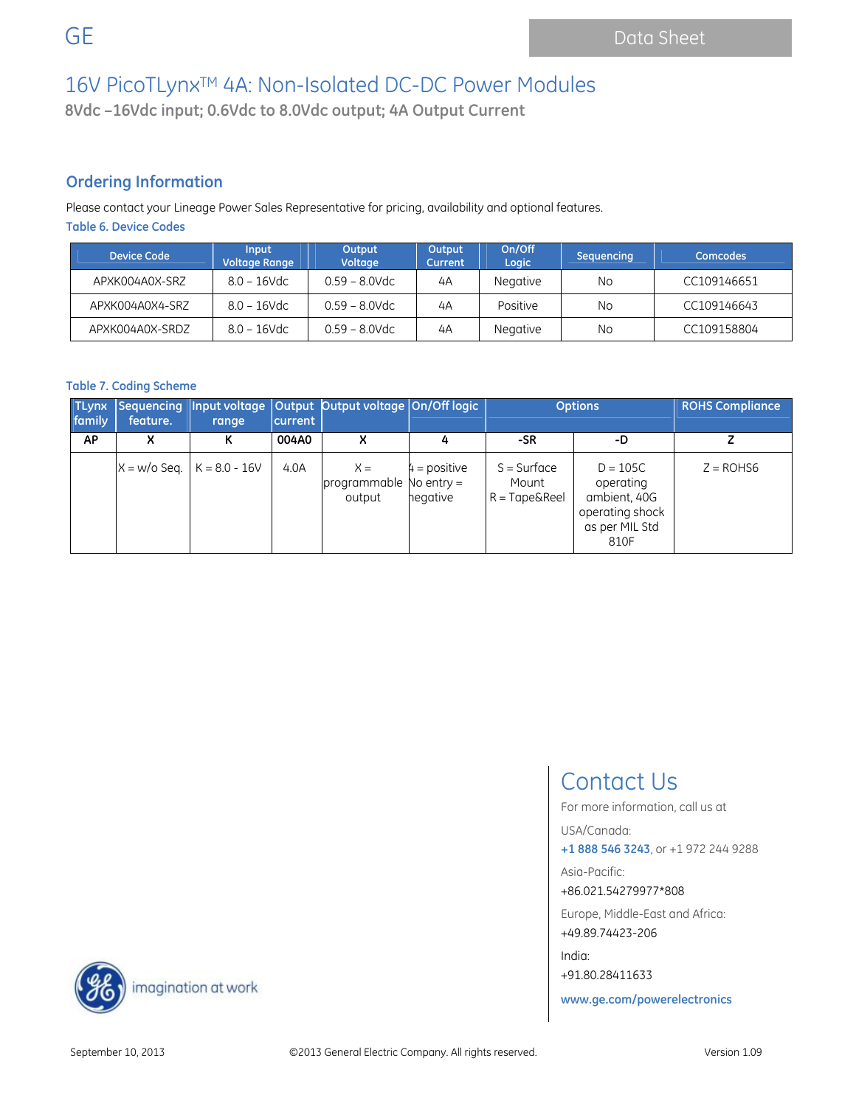**8Vdc –16Vdc input; 0.6Vdc to 8.0Vdc output; 4A Output Current**

## **Ordering Information**

Please contact your Lineage Power Sales Representative for pricing, availability and optional features. **Table 6. Device Codes** 

| <b>Device Code</b> | Input<br><b>Voltage Range</b> | Output<br>Voltage | Output<br>Current | On/Off<br>Logic | Sequencing | <b>Comcodes</b> |
|--------------------|-------------------------------|-------------------|-------------------|-----------------|------------|-----------------|
| APXK004A0X-SRZ     | $8.0 - 16$ Vdc                | $0.59 - 8.0$ Vdc  | 4A                | <b>Negative</b> | No         | CC109146651     |
| APXK004A0X4-SRZ    | $8.0 - 16$ Vdc                | $0.59 - 8.0$ Vdc  | 4A                | Positive        | No         | CC109146643     |
| APXK004A0X-SRDZ    | $8.0 - 16$ Vdc                | $0.59 - 8.0$ Vdc  | 4A                | <b>Negative</b> | No.        | CC109158804     |

### **Table 7. Coding Scheme**

| <b>TLynx</b><br>family | Sequencing<br>feature. | range                           | current | Input voltage   Output   Output voltage   On/Off logic |                            | <b>Options</b>                                   |                                                                                      | <b>ROHS Compliance</b> |
|------------------------|------------------------|---------------------------------|---------|--------------------------------------------------------|----------------------------|--------------------------------------------------|--------------------------------------------------------------------------------------|------------------------|
| AP                     | x                      | ĸ                               | 004A0   | x                                                      |                            | -SR                                              | -D                                                                                   |                        |
|                        |                        | $X = w$ /o Seg.   K = 8.0 - 16V | 4.0A    | $X =$<br>programmable No entry $=$<br>output           | $4 = positive$<br>hegative | $S = Surface$<br>Mount<br>$R = Tape&\text{Reel}$ | $D = 105C$<br>operating<br>ambient, 40G<br>operating shock<br>as per MIL Std<br>810F | $Z = ROHS6$            |

## Contact Us

For more information, call us at

#### USA/Canada:

**+1 888 546 3243**, or +1 972 244 9288

Asia-Pacific:

+86.021.54279977\*808

Europe, Middle-East and Africa: +49.89.74423-206

India: +91.80.28411633

**www.ge.com/powerelectronics**